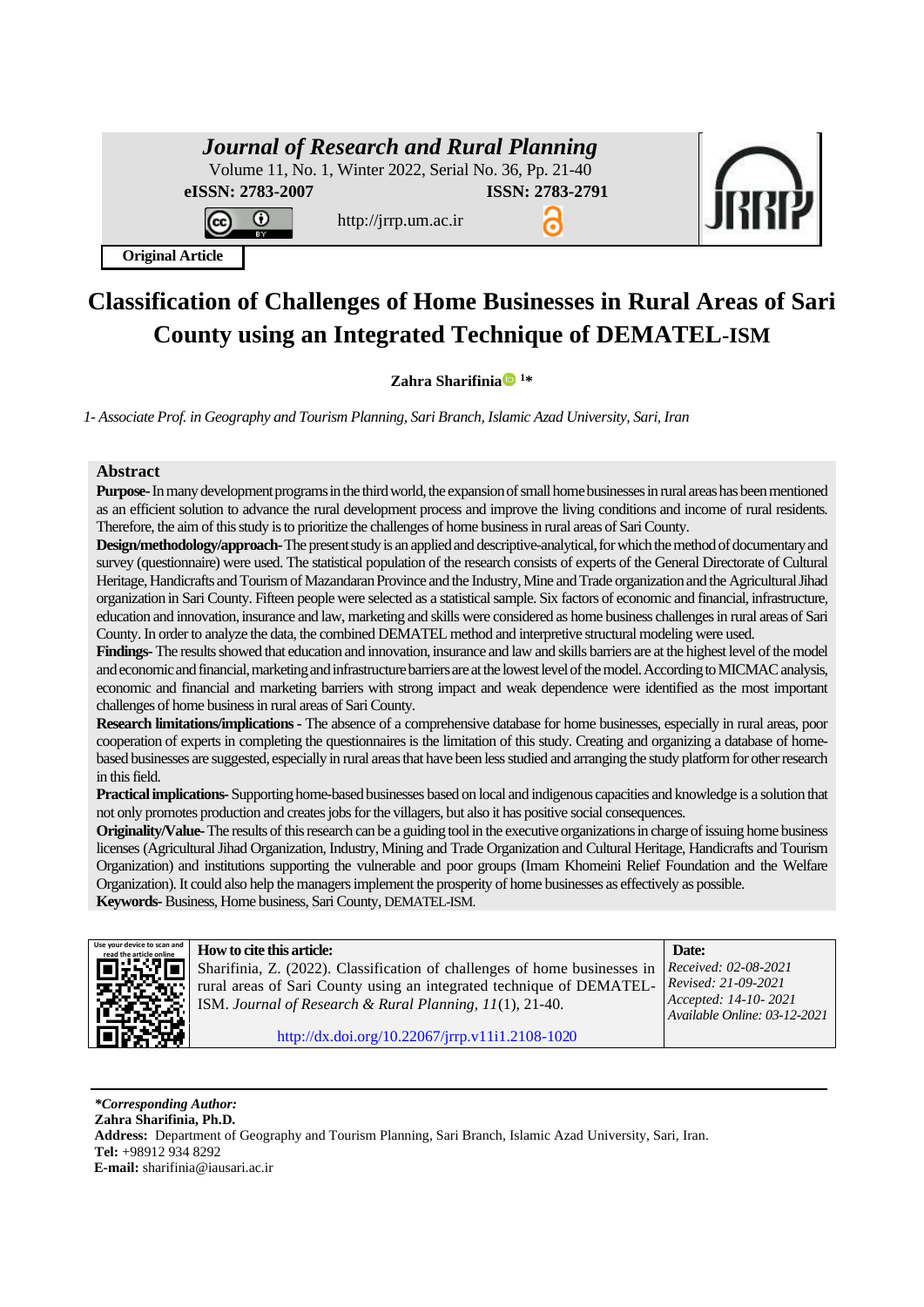| <b>Journal of Research and Rural Planning</b><br>Volume 11, No. 1, Winter 2022, Serial No. 36, Pp. 21-40 |                 |  |
|----------------------------------------------------------------------------------------------------------|-----------------|--|
| eISSN: 2783-2007<br>http://jrrp.um.ac.ir                                                                 | ISSN: 2783-2791 |  |
| <b>Original Article</b>                                                                                  |                 |  |

# **Classification of Challenges of Home Businesses in Rural Areas of Sari County using an Integrated Technique of DEMATEL-ISM**

### **Zahra Sharifinia <sup>1</sup>\***

*1- Associate Prof. in Geography and Tourism Planning, Sari Branch, Islamic Azad University, Sari, Iran*

### **Abstract**

**Purpose-**In many development programs in the third world, the expansion of small home businesses in rural areas has been mentioned as an efficient solution to advance the rural development process and improve the living conditions and income of rural residents. Therefore, the aim of this study is to prioritize the challenges of home business in rural areas of Sari County.

**Design/methodology/approach-**The present study is an applied and descriptive-analytical, for which the method of documentary and survey (questionnaire) were used. The statistical population of the research consists of experts of the General Directorate of Cultural Heritage, Handicrafts and Tourism of Mazandaran Province and the Industry, Mine and Trade organization and the Agricultural Jihad organization in Sari County. Fifteen people were selected as a statistical sample. Six factors of economic and financial, infrastructure, education and innovation, insurance and law, marketing and skills were considered as home business challenges in rural areas of Sari County. In order to analyze the data, the combined DEMATEL method and interpretive structural modeling were used.

**Findings-** The results showed that education and innovation, insurance and law and skills barriers are at the highest level of the model and economic and financial, marketing and infrastructure barriers are at the lowest level of the model. According to MICMAC analysis, economic and financial and marketing barriers with strong impact and weak dependence were identified as the most important challenges of home business in rural areas of Sari County.

**Research limitations/implications-** The absence of a comprehensive database for home businesses, especially in rural areas, poor cooperation of experts in completing the questionnaires is the limitation of this study. Creating and organizing a database of homebased businesses are suggested, especially in rural areas that have been less studied and arranging the study platform for other research in this field.

**Practical implications-**Supporting home-based businesses based on local and indigenous capacities and knowledge is a solution that not only promotes production and creates jobs for the villagers, but also it has positive social consequences.

**Originality/Value-**The results of this research can be a guiding tool in the executive organizations in charge of issuing home business licenses (Agricultural Jihad Organization, Industry, Mining and Trade Organization and Cultural Heritage, Handicrafts and Tourism Organization) and institutions supporting the vulnerable and poor groups (Imam Khomeini Relief Foundation and the Welfare Organization). It could also help the managers implement the prosperity of home businesses as effectively as possible. **Keywords-**Business, Home business, SariCounty, DEMATEL-ISM.



*F***EQUEL ON to cite this article: <b>How to cite this article: Date: Date:** Sharifinia, Z. (2022). Classification of challenges of home businesses in rural areas of Sari County using an integrated technique of DEMATEL-ISM. *Journal of Research & Rural Planning, 11*(1), 21-40. *Received: 02-08-2021 Revised: 21-09-2021 Accepted: 14-10- 2021 Available Online: 03-12-2021*  [http://dx.doi.org/10.22067/jrrp.v11i1.2108-102](http://dx.doi.org/10.22067/jrrp.v10i1.88785)0

*\*Corresponding Author:* **Zahra Sharifinia, Ph.D. Address:** Department of Geography and Tourism Planning, Sari Branch, Islamic Azad University, Sari, Iran. **Tel:** +98912 934 8292 **E-mail:** sharifinia@iausari.ac.ir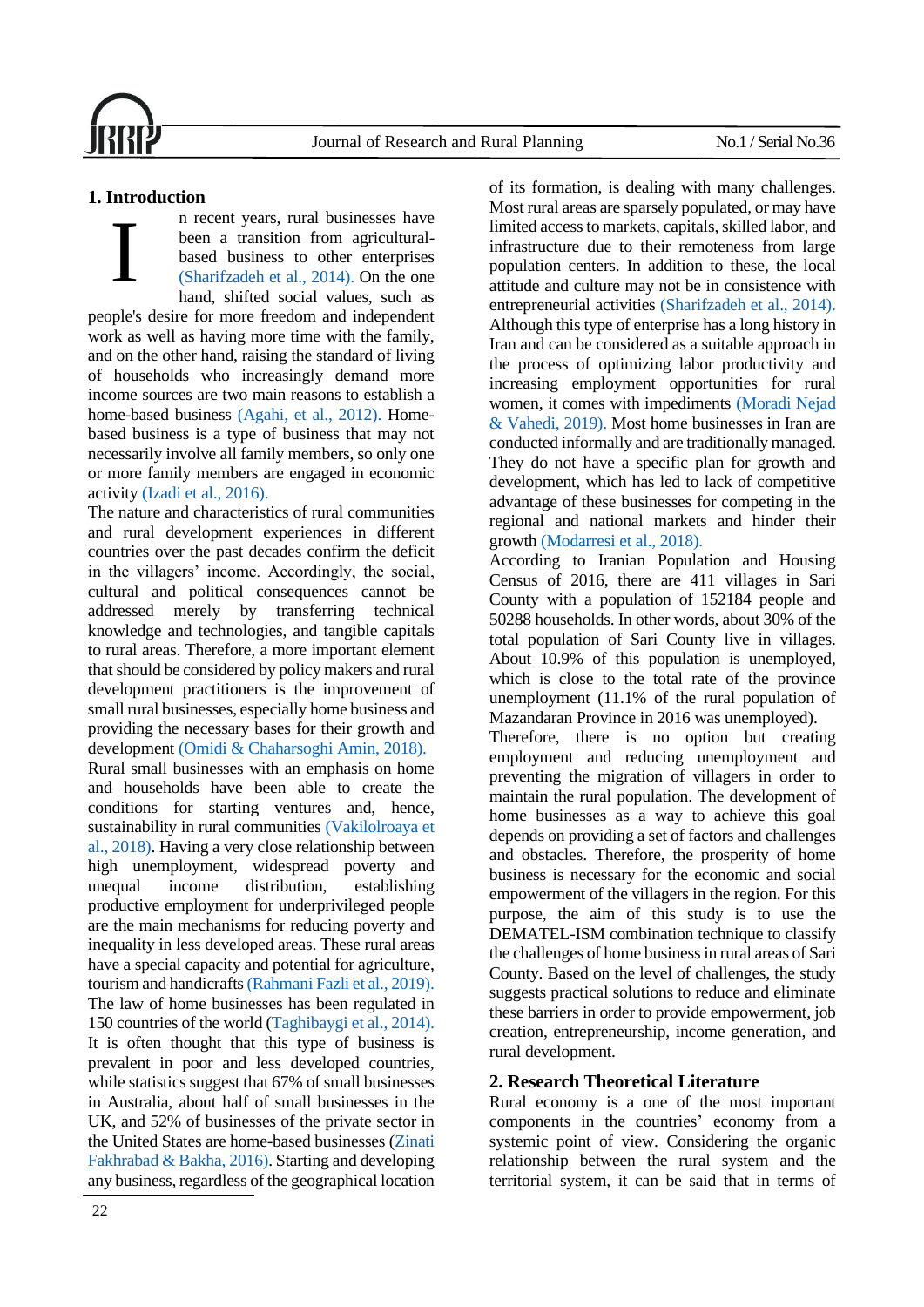# **1. Introduction**

n recent years, rural businesses have been a transition from agriculturalbased business to other enterprises [\(Sharifzadeh et al., 2014\).](#page-16-0) On the one hand, shifted social values, such as people's desire for more freedom and independent work as well as having more time with the family, and on the other hand, raising the standard of living of households who increasingly demand more income sources are two main reasons to establish a home-based business [\(Agahi, et al., 2012\).](#page-14-0) Homebased business is a type of business that may not necessarily involve all family members, so only one or more family members are engaged in economic activit[y \(Izadi et al., 2016\).](#page-14-1) I

The nature and characteristics of rural communities and rural development experiences in different countries over the past decades confirm the deficit in the villagers' income. Accordingly, the social, cultural and political consequences cannot be addressed merely by transferring technical knowledge and technologies, and tangible capitals to rural areas. Therefore, a more important element that should be considered by policy makers and rural development practitioners is the improvement of small rural businesses, especially home business and providing the necessary bases for their growth and development [\(Omidi & Chaharsoghi Amin, 2018\).](#page-15-0)

Rural small businesses with an emphasis on home and households have been able to create the conditions for starting ventures and, hence, sustainability in rural communities [\(Vakilolroaya](#page-16-1) et [al., 2018\).](#page-16-1) Having a very close relationship between high unemployment, widespread poverty and unequal income distribution, establishing productive employment for underprivileged people are the main mechanisms for reducing poverty and inequality in less developed areas. These rural areas have a special capacity and potential for agriculture, tourism and handicraft[s \(Rahmani Fazli et al., 2019\).](#page-16-2) The law of home businesses has been regulated in 150 countries of the world [\(Taghibaygi et al., 2014\).](#page-16-3) It is often thought that this type of business is prevalent in poor and less developed countries, while statistics suggest that 67% of small businesses in Australia, about half of small businesses in the UK, and 52% of businesses of the private sector in the United States are home-based businesses [\(Zinati](#page-17-0)  [Fakhrabad & Bakha,](#page-17-0) 2016). Starting and developing any business, regardless of the geographical location of its formation, is dealing with many challenges. Most rural areas are sparsely populated, or may have limited access to markets, capitals, skilled labor, and infrastructure due to their remoteness from large population centers. In addition to these, the local attitude and culture may not be in consistence with entrepreneurial activities [\(Sharifzadeh et al., 2014\).](#page-16-0) Although this type of enterprise has a long history in Iran and can be considered as a suitable approach in the process of optimizing labor productivity and increasing employment opportunities for rural women, it comes with impediments [\(Moradi Nejad](#page-15-1)  [& Vahedi, 2019\).](#page-15-1) Most home businesses in Iran are conducted informally and are traditionally managed. They do not have a specific plan for growth and development, which has led to lack of competitive advantage of these businesses for competing in the regional and national markets and hinder their growth (Modarresi [et al., 2018\).](#page-15-2)

According to Iranian Population and Housing Census of 2016, there are 411 villages in Sari County with a population of 152184 people and 50288 households. In other words, about 30% of the total population of Sari County live in villages. About 10.9% of this population is unemployed, which is close to the total rate of the province unemployment (11.1% of the rural population of Mazandaran Province in 2016 was unemployed).

Therefore, there is no option but creating employment and reducing unemployment and preventing the migration of villagers in order to maintain the rural population. The development of home businesses as a way to achieve this goal depends on providing a set of factors and challenges and obstacles. Therefore, the prosperity of home business is necessary for the economic and social empowerment of the villagers in the region. For this purpose, the aim of this study is to use the DEMATEL-ISM combination technique to classify the challenges of home business in rural areas of Sari County. Based on the level of challenges, the study suggests practical solutions to reduce and eliminate these barriers in order to provide empowerment, job creation, entrepreneurship, income generation, and rural development.

# **2. Research Theoretical Literature**

Rural economy is a one of the most important components in the countries' economy from a systemic point of view. Considering the organic relationship between the rural system and the territorial system, it can be said that in terms of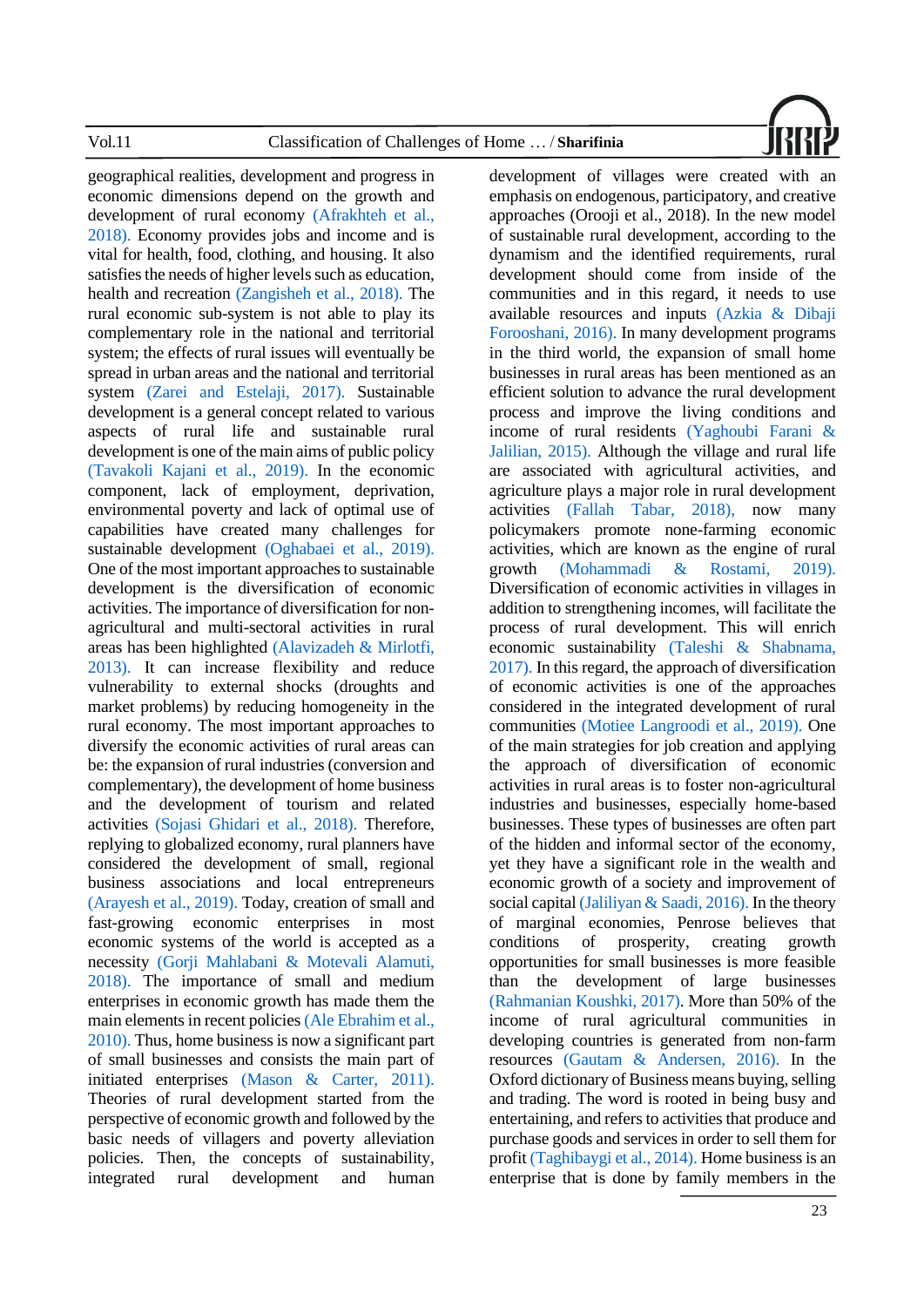

geographical realities, development and progress in economic dimensions depend on the growth and development of rural economy [\(Afrakhteh et al.,](#page-14-2)  [2018\).](#page-14-2) Economy provides jobs and income and is vital for health, food, clothing, and housing. It also satisfies the needs of higher levels such as education, health and recreation [\(Zangisheh et al., 2018\).](#page-17-1) The rural economic sub-system is not able to play its complementary role in the national and territorial system; the effects of rural issues will eventually be spread in urban areas and the national and territorial system [\(Zarei and Estelaji, 2017\).](#page-17-2) Sustainable development is a general concept related to various aspects of rural life and sustainable rural development is one of the main aims of public policy [\(Tavakoli Kajani et al., 2019\).](#page-16-4) In the economic component, lack of employment, deprivation, environmental poverty and lack of optimal use of capabilities have created many challenges for sustainable development [\(Oghabaei et al., 2019\).](#page-15-3) One of the most important approaches to sustainable development is the diversification of economic activities. The importance of diversification for nonagricultural and multi-sectoral activities in rural areas has been highlighted [\(Alavizadeh & Mirlotfi,](#page-14-3)  [2013\).](#page-14-3) It can increase flexibility and reduce vulnerability to external shocks (droughts and market problems) by reducing homogeneity in the rural economy. The most important approaches to diversify the economic activities of rural areas can be: the expansion of rural industries (conversion and complementary), the development of home business and the development of tourism and related activities [\(Sojasi Ghidari et al., 2018\).](#page-16-5) Therefore, replying to globalized economy, rural planners have considered the development of small, regional business associations and local entrepreneurs [\(Arayesh et al., 2019\).](#page-14-4) Today, creation of small and fast-growing economic enterprises in most economic systems of the world is accepted as a necessity [\(Gorji Mahlabani & Motevali Alamuti,](#page-14-5)  [2018\).](#page-14-5) The importance of small and medium enterprises in economic growth has made them the main elements in recent policies [\(Ale Ebrahim et al.,](#page-14-6)  [2010\).](#page-14-6) Thus, home business is now a significant part of small businesses and consists the main part of initiated enterprises [\(Mason & Carter, 2011\).](#page-15-4) Theories of rural development started from the perspective of economic growth and followed by the basic needs of villagers and poverty alleviation policies. Then, the concepts of sustainability, integrated rural development and human development of villages were created with an emphasis on endogenous, participatory, and creative approaches (Orooji et al., 2018). In the new model of sustainable rural development, according to the dynamism and the identified requirements, rural development should come from inside of the communities and in this regard, it needs to use available resources and inputs [\(Azkia](#page-14-7) & Dibaji [Forooshani, 2016\).](#page-14-7) In many development programs in the third world, the expansion of small home businesses in rural areas has been mentioned as an efficient solution to advance the rural development process and improve the living conditions and income of rural residents [\(Yaghoubi Farani &](#page-16-6) [Jalilian, 2015\).](#page-16-6) Although the village and rural life are associated with agricultural activities, and agriculture plays a major role in rural development activities [\(Fallah Tabar, 2018\),](#page-14-8) now many policymakers promote none-farming economic activities, which are known as the engine of rural growth [\(Mohammadi &](#page-15-5) Rostami, 2019). Diversification of economic activities in villages in addition to strengthening incomes, will facilitate the process of rural development. This will enrich economic sustainability [\(Taleshi & Shabnama,](#page-16-7)  [2017\).](#page-16-7) In this regard, the approach of diversification of economic activities is one of the approaches considered in the integrated development of rural communities [\(Motiee Langroodi et al., 2019\).](#page-15-6) One of the main strategies for job creation and applying the approach of diversification of economic activities in rural areas is to foster non-agricultural industries and businesses, especially home-based businesses. These types of businesses are often part of the hidden and informal sector of the economy, yet they have a significant role in the wealth and economic growth of a society and improvement of social capita[l \(Jaliliyan & Saadi, 2016\).](#page-14-9) In the theory of marginal economies, Penrose believes that conditions of prosperity, creating growth opportunities for small businesses is more feasible than the development of large businesses [\(Rahmanian Koushki, 2017\).](#page-16-8) More than 50% of the income of rural agricultural communities in developing countries is generated from non-farm resources (Gautam & [Andersen, 2016\).](#page-14-10) In the Oxford dictionary of Business means buying, selling and trading. The word is rooted in being busy and entertaining, and refers to activities that produce and purchase goods and services in order to sell them for profi[t \(Taghibaygi](#page-16-3) et al., 2014). Home business is an enterprise that is done by family members in the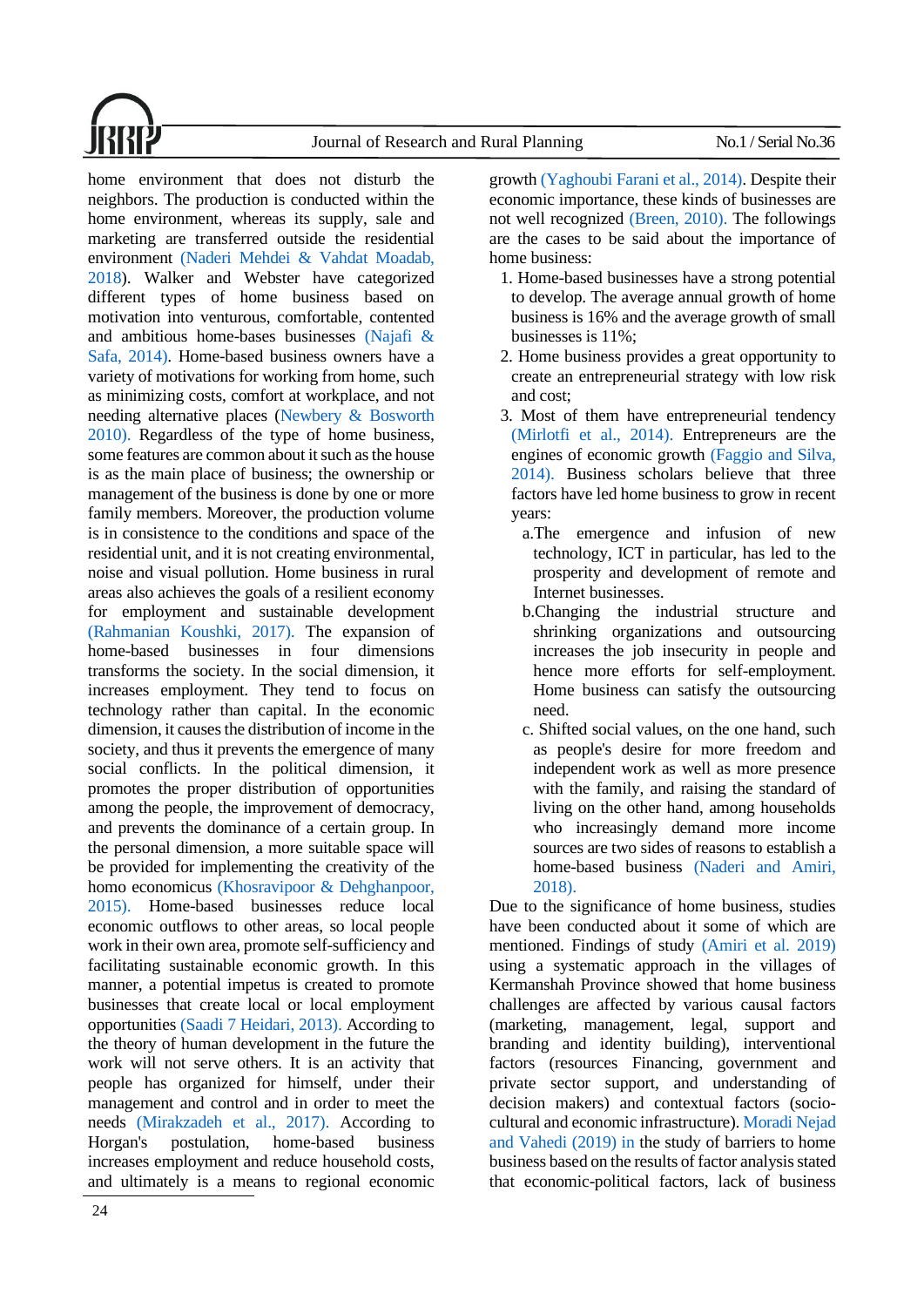Journal of Research and Rural Planning No.1 / Serial No.36



home environment that does not disturb the neighbors. The production is conducted within the home environment, whereas its supply, sale and marketing are transferred outside the residential environment (Naderi Mehdei & [Vahdat Moadab,](#page-15-7)  [2018\)](#page-15-7). Walker and Webster have categorized different types of home business based on motivation into venturous, comfortable, contented and ambitious home-bases businesses [\(Najafi &](#page-15-8)  [Safa, 2014\).](#page-15-8) Home-based business owners have a variety of motivations for working from home, such as minimizing costs, comfort at workplace, and not needing alternative places [\(Newbery &](#page-15-9) Bosworth [2010\).](#page-15-9) Regardless of the type of home business, some features are common about it such as the house is as the main place of business; the ownership or management of the business is done by one or more family members. Moreover, the production volume is in consistence to the conditions and space of the residential unit, and it is not creating environmental, noise and visual pollution. Home business in rural areas also achieves the goals of a resilient economy for employment and sustainable development [\(Rahmanian Koushki, 2017\).](#page-16-8) The expansion of home-based businesses in four dimensions transforms the society. In the social dimension, it increases employment. They tend to focus on technology rather than capital. In the economic dimension, it causes the distribution of income in the society, and thus it prevents the emergence of many social conflicts. In the political dimension, it promotes the proper distribution of opportunities among the people, the improvement of democracy, and prevents the dominance of a certain group. In the personal dimension, a more suitable space will be provided for implementing the creativity of the homo economicus [\(Khosravipoor &](#page-15-10) Dehghanpoor, [2015\).](#page-15-10) Home-based businesses reduce local economic outflows to other areas, so local people work in their own area, promote self-sufficiency and facilitating sustainable economic growth. In this manner, a potential impetus is created to promote businesses that create local or local employment opportunities (Saadi 7 [Heidari, 2013\).](#page-16-9) According to the theory of human development in the future the work will not serve others. It is an activity that people has organized for himself, under their management and control and in order to meet the needs [\(Mirakzadeh et al., 2017\).](#page-15-11) According to Horgan's postulation, home-based business increases employment and reduce household costs, and ultimately is a means to regional economic

growt[h \(Yaghoubi Farani et al., 2014\).](#page-17-3) Despite their economic importance, these kinds of businesses are not well recognized [\(Breen, 2010\).](#page-14-11) The followings are the cases to be said about the importance of home business:

- 1. Home-based businesses have a strong potential to develop. The average annual growth of home business is 16% and the average growth of small businesses is 11%;
- 2. Home business provides a great opportunity to create an entrepreneurial strategy with low risk and cost;
- 3. Most of them have entrepreneurial tendency [\(Mirlotfi et al., 2014\).](#page-15-12) Entrepreneurs are the engines of economic growth [\(Faggio and Silva,](#page-14-12)  [2014\).](#page-14-12) Business scholars believe that three factors have led home business to grow in recent years:
	- a.The emergence and infusion of new technology, ICT in particular, has led to the prosperity and development of remote and Internet businesses.
	- b.Changing the industrial structure and shrinking organizations and outsourcing increases the job insecurity in people and hence more efforts for self-employment. Home business can satisfy the outsourcing need.
	- c. Shifted social values, on the one hand, such as people's desire for more freedom and independent work as well as more presence with the family, and raising the standard of living on the other hand, among households who increasingly demand more income sources are two sides of reasons to establish a home-based business [\(Naderi and Amiri,](#page-3-0)  [2018\).](#page-3-0)

<span id="page-3-0"></span>Due to the significance of home business, studies have been conducted about it some of which are mentioned. Findings of study [\(Amiri et al. 2019\)](#page-14-13) using a systematic approach in the villages of Kermanshah Province showed that home business challenges are affected by various causal factors (marketing, management, legal, support and branding and identity building), interventional factors (resources Financing, government and private sector support, and understanding of decision makers) and contextual factors (sociocultural and economic infrastructure). [Moradi Nejad](#page-15-1)  [and Vahedi \(2019\) in](#page-15-1) the study of barriers to home business based on the results of factor analysis stated that economic-political factors, lack of business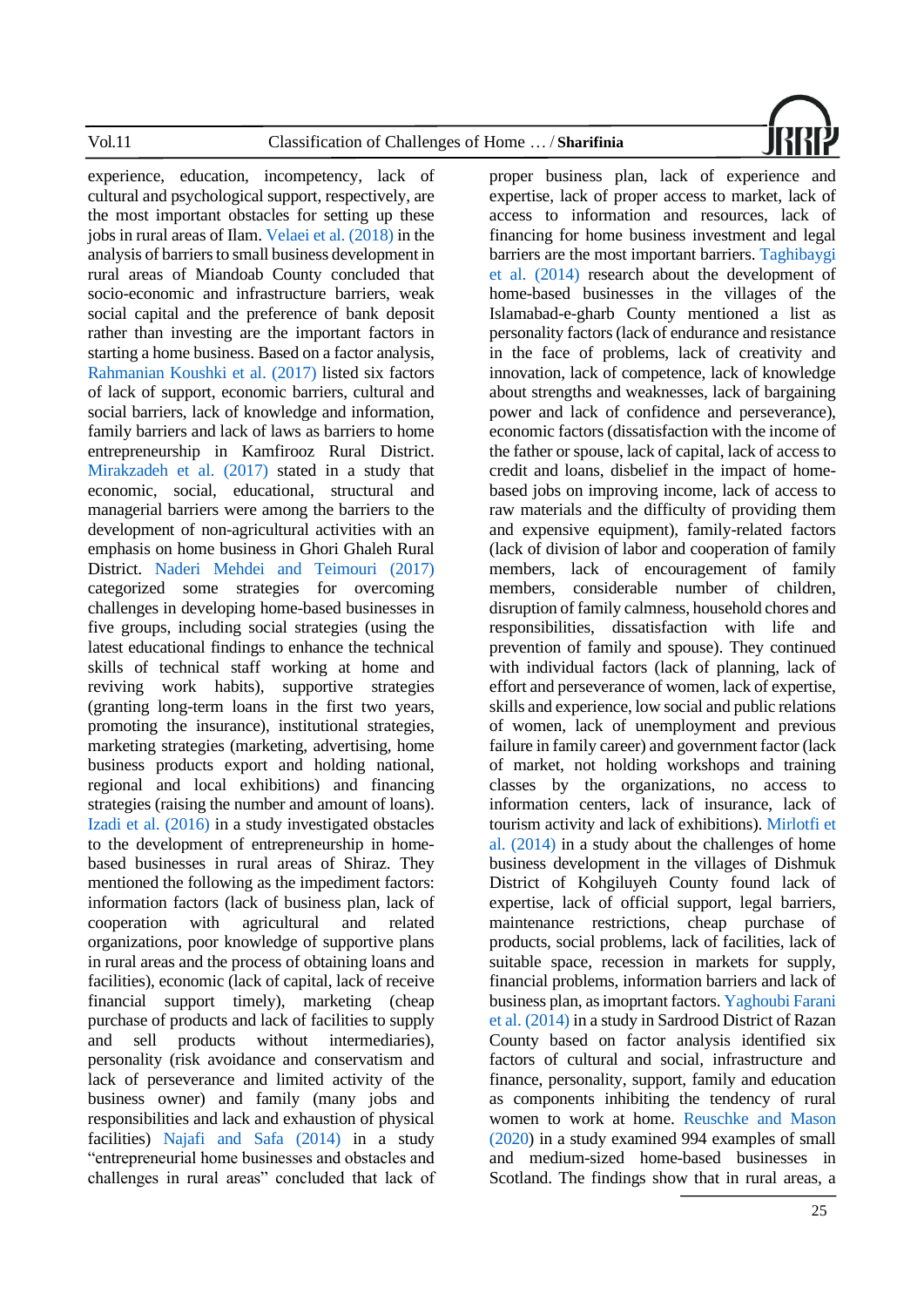

experience, education, incompetency, lack of cultural and psychological support, respectively, are the most important obstacles for setting up these jobs in rural areas of Ilam[. Velaei et al. \(2018\)](#page-16-10) in the analysis of barriers to small business development in rural areas of Miandoab County concluded that socio-economic and infrastructure barriers, weak social capital and the preference of bank deposit rather than investing are the important factors in starting a home business. Based on a factor analysis, [Rahmanian Koushki et al. \(2017\)](#page-16-8) listed six factors of lack of support, economic barriers, cultural and social barriers, lack of knowledge and information, family barriers and lack of laws as barriers to home entrepreneurship in Kamfirooz Rural District. [Mirakzadeh et al. \(2017\)](#page-15-11) stated in a study that economic, social, educational, structural and managerial barriers were among the barriers to the development of non-agricultural activities with an emphasis on home business in Ghori Ghaleh Rural District. [Naderi Mehdei and Teimouri \(2017\)](#page-15-13) categorized some strategies for overcoming challenges in developing home-based businesses in five groups, including social strategies (using the latest educational findings to enhance the technical skills of technical staff working at home and reviving work habits), supportive strategies (granting long-term loans in the first two years, promoting the insurance), institutional strategies, marketing strategies (marketing, advertising, home business products export and holding national, regional and local exhibitions) and financing strategies (raising the number and amount of loans). [Izadi et al. \(2016\)](#page-14-1) in a study investigated obstacles to the development of entrepreneurship in homebased businesses in rural areas of Shiraz. They mentioned the following as the impediment factors: information factors (lack of business plan, lack of cooperation with agricultural and related organizations, poor knowledge of supportive plans in rural areas and the process of obtaining loans and facilities), economic (lack of capital, lack of receive financial support timely), marketing (cheap purchase of products and lack of facilities to supply and sell products without intermediaries), personality (risk avoidance and conservatism and lack of perseverance and limited activity of the business owner) and family (many jobs and responsibilities and lack and exhaustion of physical facilities) [Najafi and Safa \(2014\)](#page-15-8) in a study "entrepreneurial home businesses and obstacles and challenges in rural areas" concluded that lack of

proper business plan, lack of experience and expertise, lack of proper access to market, lack of access to information and resources, lack of financing for home business investment and legal barriers are the most important barriers[. Taghibaygi](#page-16-3)  [et al. \(2014\)](#page-16-3) research about the development of home-based businesses in the villages of the Islamabad-e-gharb County mentioned a list as personality factors (lack of endurance and resistance in the face of problems, lack of creativity and innovation, lack of competence, lack of knowledge about strengths and weaknesses, lack of bargaining power and lack of confidence and perseverance), economic factors (dissatisfaction with the income of the father or spouse, lack of capital, lack of access to credit and loans, disbelief in the impact of homebased jobs on improving income, lack of access to raw materials and the difficulty of providing them and expensive equipment), family-related factors (lack of division of labor and cooperation of family members, lack of encouragement of family members, considerable number of children, disruption of family calmness, household chores and responsibilities, dissatisfaction with life and prevention of family and spouse). They continued with individual factors (lack of planning, lack of effort and perseverance of women, lack of expertise, skills and experience, low social and public relations of women, lack of unemployment and previous failure in family career) and government factor (lack of market, not holding workshops and training classes by the organizations, no access to information centers, lack of insurance, lack of tourism activity and lack of exhibitions). [Mirlotfi et](#page-15-12)  [al. \(2014\)](#page-15-12) in a study about the challenges of home business development in the villages of Dishmuk District of Kohgiluyeh County found lack of expertise, lack of official support, legal barriers, maintenance restrictions, cheap purchase of products, social problems, lack of facilities, lack of suitable space, recession in markets for supply, financial problems, information barriers and lack of business plan, as imoprtant factors. [Yaghoubi Farani](#page-17-3)  [et al. \(2014\)](#page-17-3) in a study in Sardrood District of Razan County based on factor analysis identified six factors of cultural and social, infrastructure and finance, personality, support, family and education as components inhibiting the tendency of rural women to work at home. [Reuschke and](#page-16-11) Mason [\(2020\)](#page-16-11) in a study examined 994 examples of small and medium-sized home-based businesses in Scotland. The findings show that in rural areas, a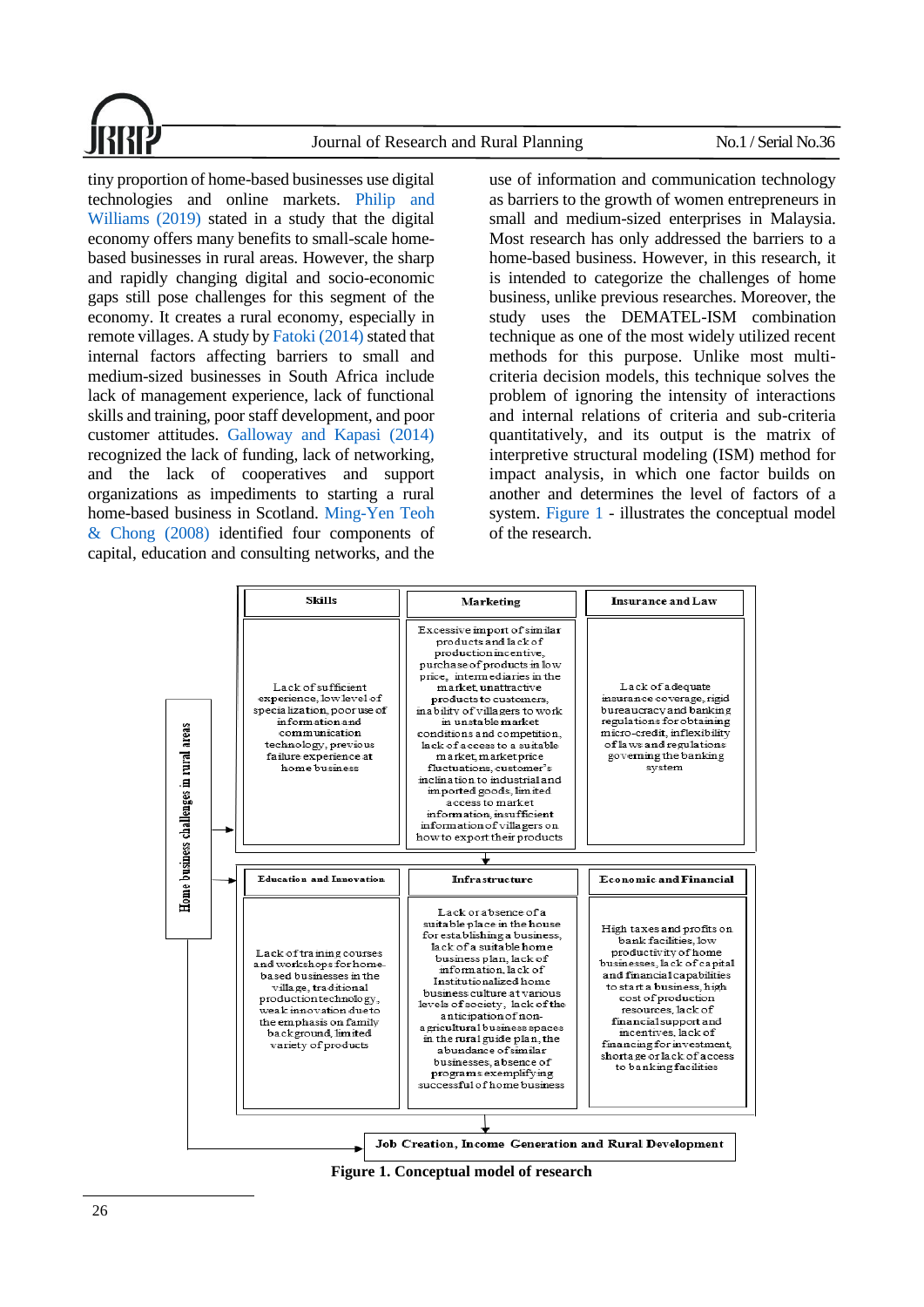

tiny proportion of home-based businesses use digital technologies and online markets. [Philip and](#page-16-12)  [Williams \(2019\)](#page-16-12) stated in a study that the digital economy offers many benefits to small-scale homebased businesses in rural areas. However, the sharp and rapidly changing digital and socio-economic gaps still pose challenges for this segment of the economy. It creates a rural economy, especially in remote villages. A study by [Fatoki \(2014\)](#page-14-14) stated that internal factors affecting barriers to small and medium-sized businesses in South Africa include lack of management experience, lack of functional skills and training, poor staff development, and poor customer attitudes. [Galloway and](#page-14-15) Kapasi (2014) recognized the lack of funding, lack of networking, and the lack of cooperatives and support organizations as impediments to starting a rural home-based business in Scotland. [Ming-Yen Teoh](#page-15-14)  [& Chong \(2008\)](#page-15-14) identified four components of capital, education and consulting networks, and the

use of information and communication technology as barriers to the growth of women entrepreneurs in small and medium-sized enterprises in Malaysia. Most research has only addressed the barriers to a home-based business. However, in this research, it is intended to categorize the challenges of home business, unlike previous researches. Moreover, the study uses the DEMATEL-ISM combination technique as one of the most widely utilized recent methods for this purpose. Unlike most multicriteria decision models, this technique solves the problem of ignoring the intensity of interactions and internal relations of criteria and sub-criteria quantitatively, and its output is the matrix of interpretive structural modeling (ISM) method for impact analysis, in which one factor builds on another and determines the level of factors of a system. [Figure 1](#page-5-0) - illustrates the conceptual model of the research.



<span id="page-5-0"></span>**Figure 1. Conceptual model of research**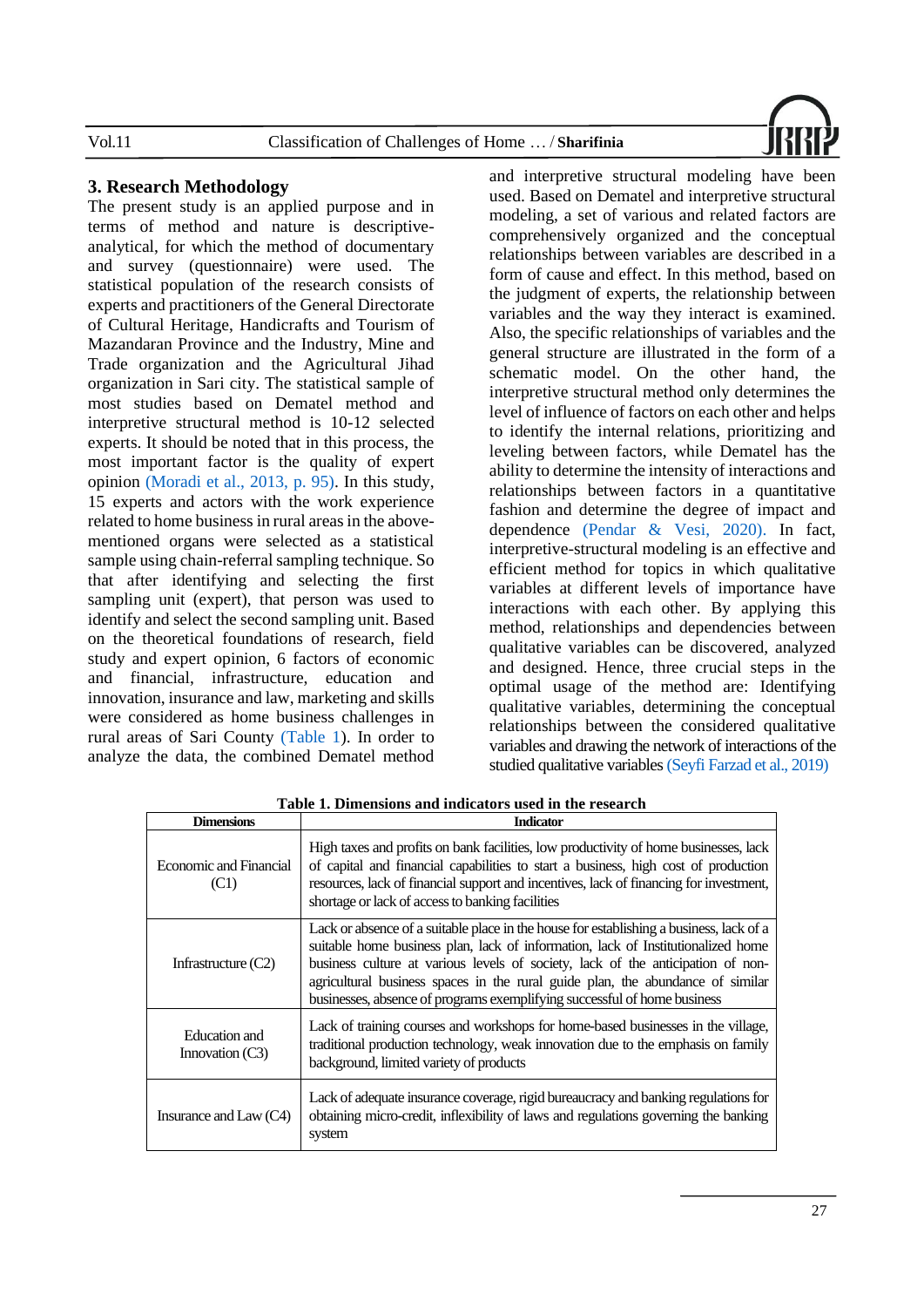

### **3. Research Methodology**

The present study is an applied purpose and in terms of method and nature is descriptiveanalytical, for which the method of documentary and survey (questionnaire) were used. The statistical population of the research consists of experts and practitioners of the General Directorate of Cultural Heritage, Handicrafts and Tourism of Mazandaran Province and the Industry, Mine and Trade organization and the Agricultural Jihad organization in Sari city. The statistical sample of most studies based on Dematel method and interpretive structural method is 10-12 selected experts. It should be noted that in this process, the most important factor is the quality of expert opinion [\(Moradi et al., 2013, p. 95\).](#page-15-15) In this study, 15 experts and actors with the work experience related to home business in rural areas in the abovementioned organs were selected as a statistical sample using chain-referral sampling technique. So that after identifying and selecting the first sampling unit (expert), that person was used to identify and select the second sampling unit. Based on the theoretical foundations of research, field study and expert opinion, 6 factors of economic and financial, infrastructure, education and innovation, insurance and law, marketing and skills were considered as home business challenges in rural areas of Sari County [\(Table 1\)](#page-6-0). In order to analyze the data, the combined Dematel method

and interpretive structural modeling have been used. Based on Dematel and interpretive structural modeling, a set of various and related factors are comprehensively organized and the conceptual relationships between variables are described in a form of cause and effect. In this method, based on the judgment of experts, the relationship between variables and the way they interact is examined. Also, the specific relationships of variables and the general structure are illustrated in the form of a schematic model. On the other hand, the interpretive structural method only determines the level of influence of factors on each other and helps to identify the internal relations, prioritizing and leveling between factors, while Dematel has the ability to determine the intensity of interactions and relationships between factors in a quantitative fashion and determine the degree of impact and dependence (Pendar & [Vesi, 2020\).](#page-16-13) In fact, interpretive-structural modeling is an effective and efficient method for topics in which qualitative variables at different levels of importance have interactions with each other. By applying this method, relationships and dependencies between qualitative variables can be discovered, analyzed and designed. Hence, three crucial steps in the optimal usage of the method are: Identifying qualitative variables, determining the conceptual relationships between the considered qualitative variables and drawing the network of interactions of the studied qualitative variable[s \(Seyfi Farzad et al., 2019\)](#page-16-14)

<span id="page-6-0"></span>

| <b>Dimensions</b>                  | <b>Indicator</b>                                                                                                                                                                                                                                                                                                                                                                                                             |
|------------------------------------|------------------------------------------------------------------------------------------------------------------------------------------------------------------------------------------------------------------------------------------------------------------------------------------------------------------------------------------------------------------------------------------------------------------------------|
| Economic and Financial<br>(C1)     | High taxes and profits on bank facilities, low productivity of home businesses, lack<br>of capital and financial capabilities to start a business, high cost of production<br>resources, lack of financial support and incentives, lack of financing for investment,<br>shortage or lack of access to banking facilities                                                                                                     |
| Infrastructure $(C2)$              | Lack or absence of a suitable place in the house for establishing a business, lack of a<br>suitable home business plan, lack of information, lack of Institutionalized home<br>business culture at various levels of society, lack of the anticipation of non-<br>agricultural business spaces in the rural guide plan, the abundance of similar<br>businesses, absence of programs exemplifying successful of home business |
| Education and<br>Innovation $(C3)$ | Lack of training courses and workshops for home-based businesses in the village,<br>traditional production technology, weak innovation due to the emphasis on family<br>background, limited variety of products                                                                                                                                                                                                              |
| Insurance and Law $(C4)$           | Lack of adequate insurance coverage, rigid bureaucracy and banking regulations for<br>obtaining micro-credit, inflexibility of laws and regulations governing the banking<br>system                                                                                                                                                                                                                                          |

**Table 1. Dimensions and indicators used in the research**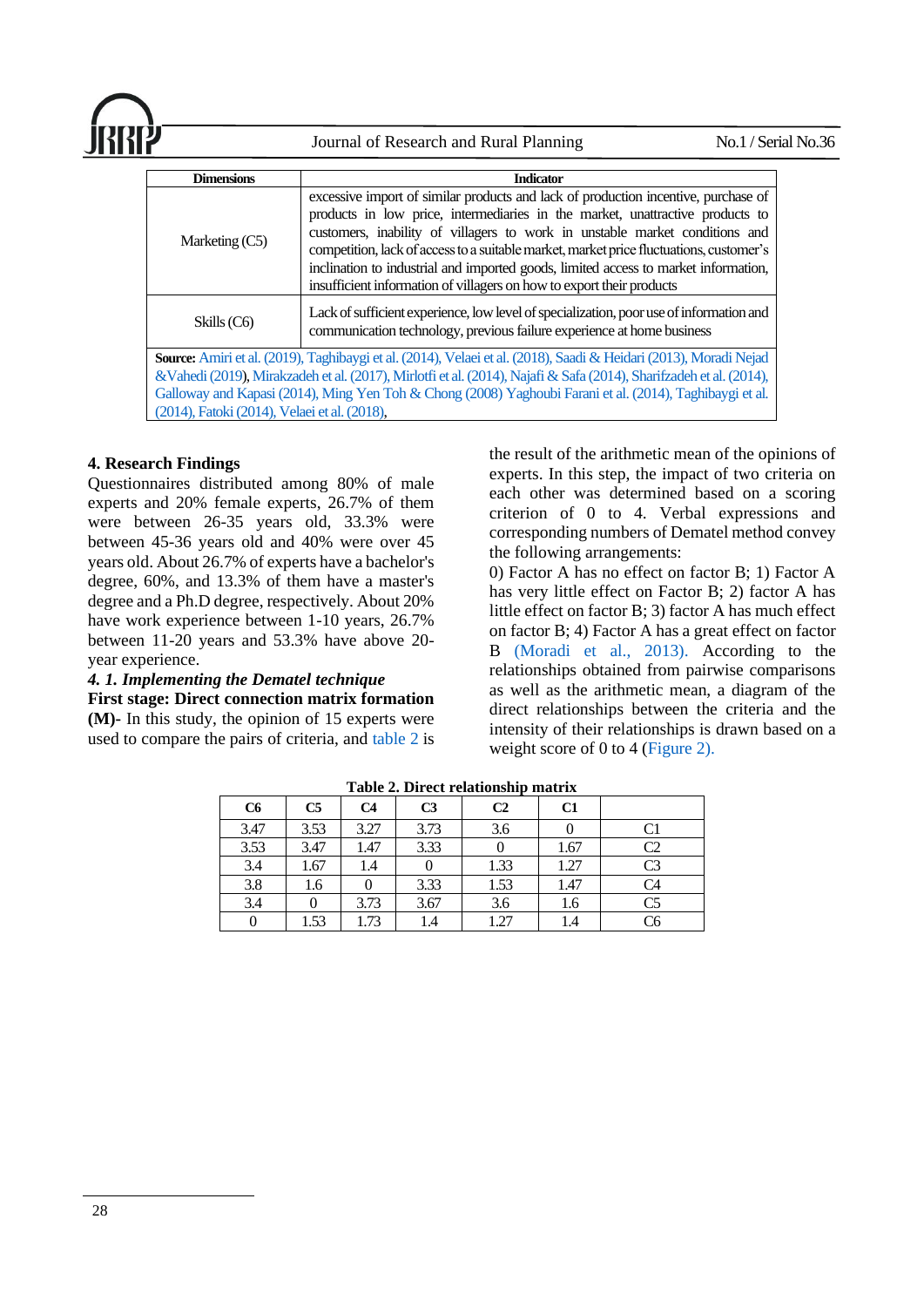| <b>JRR</b> |                      | Journal of Research and Rural Planning                                                                                                                                                                                                                                                                                                                                                                                                                                                                        | $\mathrm{No.1}/\mathrm{SerialNo.36}$ |
|------------|----------------------|---------------------------------------------------------------------------------------------------------------------------------------------------------------------------------------------------------------------------------------------------------------------------------------------------------------------------------------------------------------------------------------------------------------------------------------------------------------------------------------------------------------|--------------------------------------|
|            | <b>Dimensions</b>    | <b>Indicator</b>                                                                                                                                                                                                                                                                                                                                                                                                                                                                                              |                                      |
|            | Marketing $(C5)$     | excessive import of similar products and lack of production incentive, purchase of<br>products in low price, intermediaries in the market, unattractive products to<br>customers, inability of villagers to work in unstable market conditions and<br>competition, lack of access to a suitable market, market price fluctuations, customer's<br>inclination to industrial and imported goods, limited access to market information,<br>insufficient information of villagers on how to export their products |                                      |
|            | $\sim$ $\sim$ $\sim$ | Lack of sufficient experience, low level of specialization, poor use of information and                                                                                                                                                                                                                                                                                                                                                                                                                       |                                      |

Skills (C6) Communication technology, previous failure experience at home business **Source:** [Amiri et al. \(2019\),](#page-14-13) [Taghibaygi et al. \(2014\),](#page-16-3) [Velaei et al. \(2018\),](#page-16-10) [Saadi & Heidari \(2013\),](#page-16-9) [Moradi Nejad](#page-15-1)  [&Vahedi \(2019\)](#page-15-1)[, Mirakzadeh et al. \(2017\),](#page-15-11)[Mirlotfi et al. \(2014\),](#page-15-12) [Najafi & Safa \(2014\),](#page-15-8) [Sharifzadeh et al. \(2014\),](#page-16-0) [Galloway and Kapasi \(2014\),](#page-14-15) [Ming Yen Toh & Chong \(2008\)](#page-15-14) [Yaghoubi Farani et al. \(2014\),](#page-17-3) [Taghibaygi et al.](#page-16-3)  [\(2014\),](#page-16-3) [Fatoki \(2014\),](#page-14-14) [Velaei et al. \(2018\),](#page-16-10)

### **4. Research Findings**

Questionnaires distributed among 80% of male experts and 20% female experts, 26.7% of them were between 26-35 years old, 33.3% were between 45-36 years old and 40% were over 45 years old. About 26.7% of experts have a bachelor's degree, 60%, and 13.3% of them have a master's degree and a Ph.D degree, respectively. About 20% have work experience between 1-10 years, 26.7% between 11-20 years and 53.3% have above 20 year experience.

### *4. 1. Implementing the Dematel technique*

**First stage: Direct connection matrix formation** 

<span id="page-7-0"></span>**(M)-** In this study, the opinion of 15 experts were used to compare the pairs of criteria, and [table 2](#page-7-0) is the result of the arithmetic mean of the opinions of experts. In this step, the impact of two criteria on each other was determined based on a scoring criterion of 0 to 4. Verbal expressions and corresponding numbers of Dematel method convey the following arrangements:

0) Factor A has no effect on factor B; 1) Factor A has very little effect on Factor B; 2) factor A has little effect on factor B; 3) factor A has much effect on factor B; 4) Factor A has a great effect on factor B [\(Moradi et al., 2013\).](#page-15-15) According to the relationships obtained from pairwise comparisons as well as the arithmetic mean, a diagram of the direct relationships between the criteria and the intensity of their relationships is drawn based on a weight score of 0 to 4 [\(Figure 2\).](#page-8-0)

| C6   | C <sub>5</sub> | C <sub>4</sub> | C <sub>3</sub> | C <sub>2</sub> | C1   |    |
|------|----------------|----------------|----------------|----------------|------|----|
| 3.47 | 3.53           | 3.27           | 3.73           | 3.6            |      |    |
| 3.53 | 3.47           | 1.47           | 3.33           |                | 1.67 | C2 |
| 3.4  | 1.67           | 1.4            |                | 1.33           | 1.27 | C3 |
| 3.8  | 1.6            |                | 3.33           | 1.53           | 1.47 | C4 |
| 3.4  |                | 3.73           | 3.67           | 3.6            | 1.6  | C5 |
|      | 1.53           | 1.73           | 1.4            | 1.27           | 1.4  | C6 |

**Table 2. Direct relationship matrix**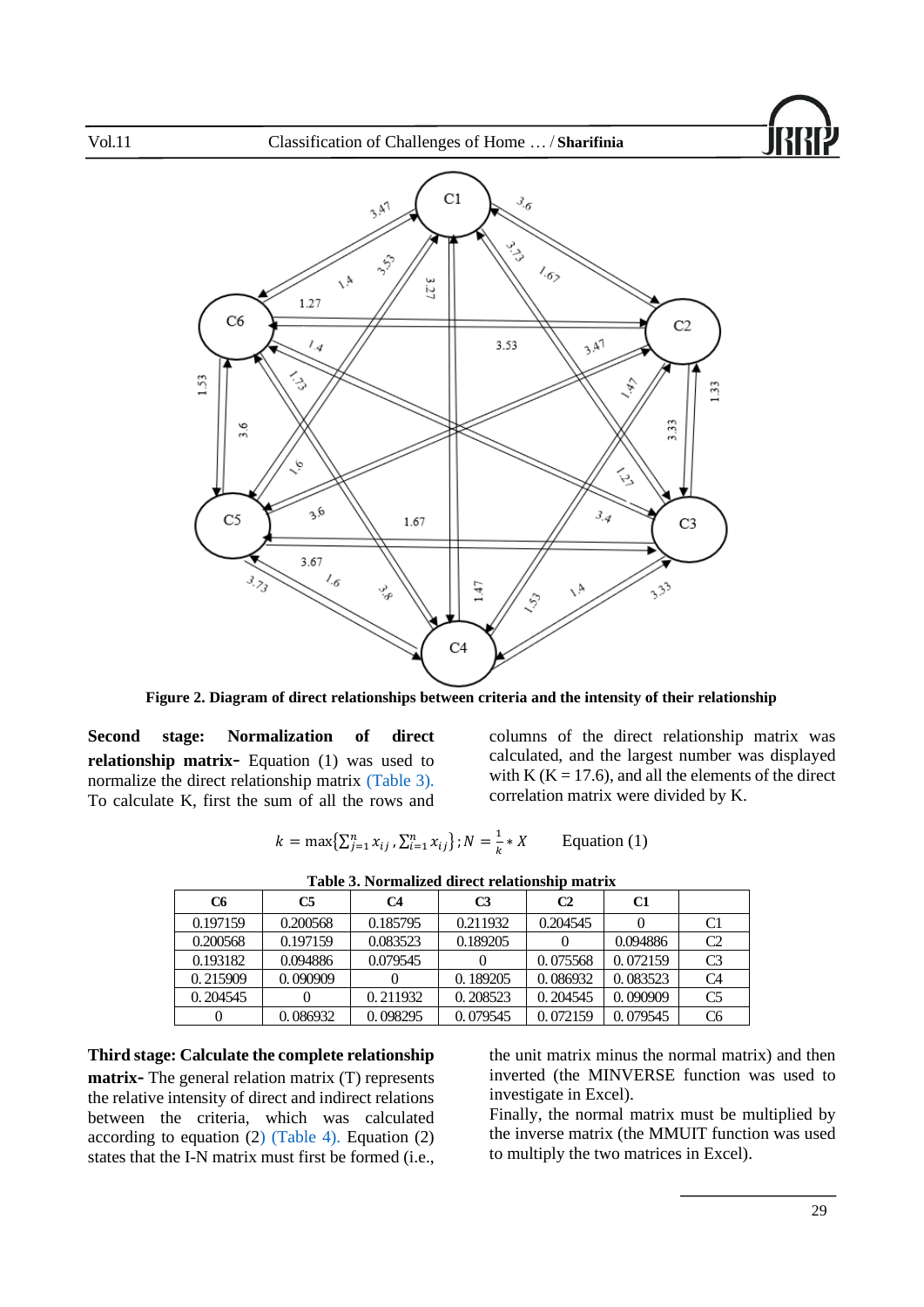



**Figure 2. Diagram of direct relationships between criteria and the intensity of their relationship**

<span id="page-8-0"></span>**Second stage: Normalization of direct relationship matrix**- Equation (1) was used to normalize the direct relationship matrix [\(Table 3\).](#page-8-1) To calculate K, first the sum of all the rows and

columns of the direct relationship matrix was calculated, and the largest number was displayed with K ( $K = 17.6$ ), and all the elements of the direct correlation matrix were divided by K.

$$
k = \max\{\sum_{j=1}^{n} x_{ij}, \sum_{i=1}^{n} x_{ij}\}; N = \frac{1}{k} * X
$$
 Equation (1)

 $\overline{1}$ 

<span id="page-8-1"></span>

| TUDIO DI TULIMMILDON MILODO LOMOLUMINI MANDI. |          |          |          |                |          |                |
|-----------------------------------------------|----------|----------|----------|----------------|----------|----------------|
| C6                                            | C5       | C4       | C3       | C <sub>2</sub> | C1       |                |
| 0.197159                                      | 0.200568 | 0.185795 | 0.211932 | 0.204545       |          | C1             |
| 0.200568                                      | 0.197159 | 0.083523 | 0.189205 |                | 0.094886 | C <sub>2</sub> |
| 0.193182                                      | 0.094886 | 0.079545 |          | 0.075568       | 0.072159 | C <sub>3</sub> |
| 0.215909                                      | 0.090909 |          | 0.189205 | 0.086932       | 0.083523 | C <sub>4</sub> |
| 0.204545                                      |          | 0.211932 | 0.208523 | 0.204545       | 0.090909 | C <sub>5</sub> |
|                                               | 0.086932 | 0.098295 | 0.079545 | 0.072159       | 0.079545 | C <sub>6</sub> |

**Table 3. Normalized direct relationship matrix** 

**Third stage: Calculate the complete relationship matrix-** The general relation matrix (T) represents the relative intensity of direct and indirect relations between the criteria, which was calculated according to equation ([2\) \(Table 4\).](#page-9-0) Equation (2) states that the I-N matrix must first be formed (i.e.,

the unit matrix minus the normal matrix) and then inverted (the MINVERSE function was used to investigate in Excel).

Finally, the normal matrix must be multiplied by the inverse matrix (the MMUIT function was used to multiply the two matrices in Excel).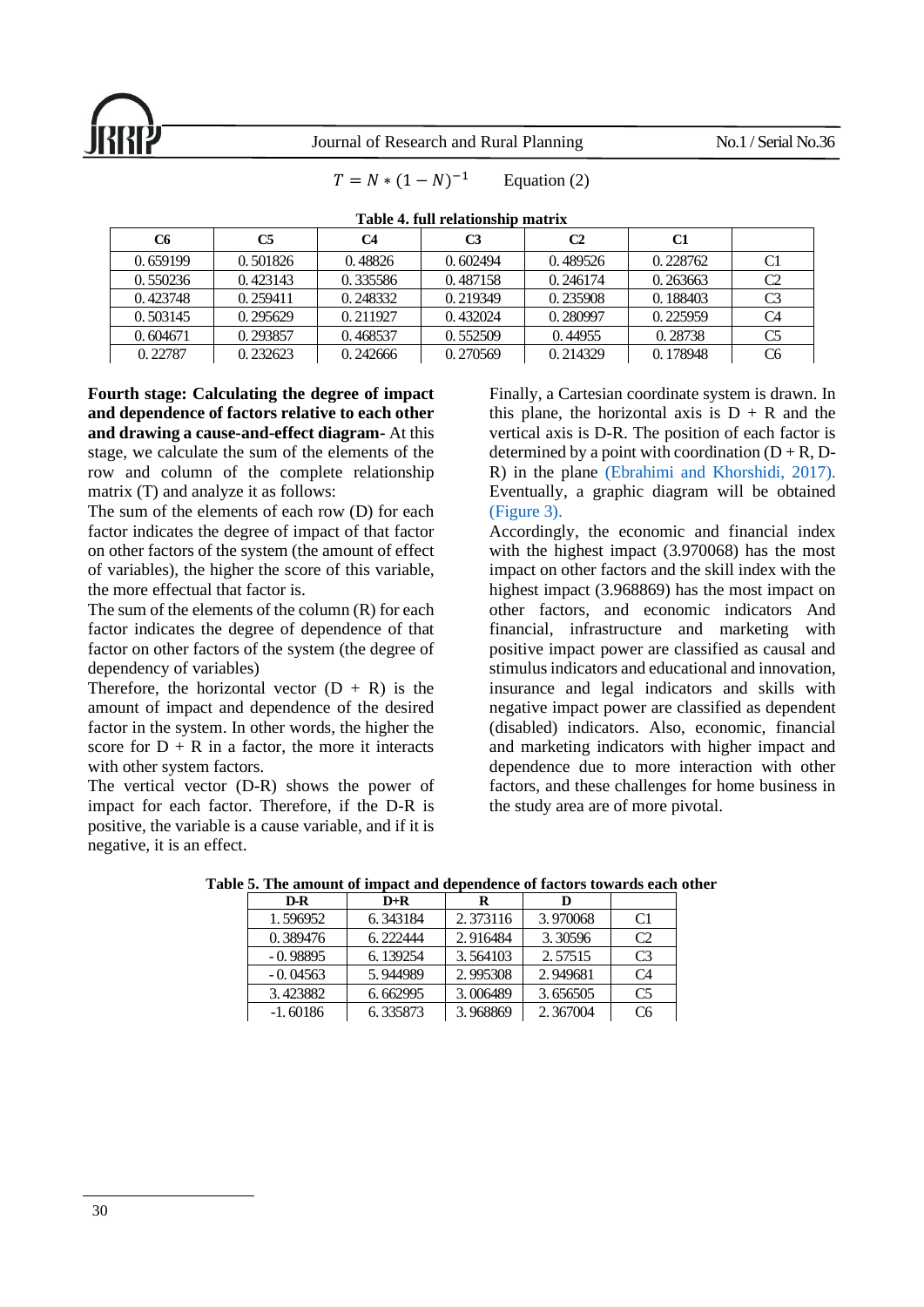$T = N * (1 - N)^{-1}$ 

<span id="page-9-0"></span>

| TWAIL II THILL AND AN AN AIR THAT AN |           |          |                |          |          |                |  |
|--------------------------------------|-----------|----------|----------------|----------|----------|----------------|--|
| <b>C6</b>                            | <b>C5</b> | C4       | C <sub>3</sub> | C2       | C1       |                |  |
| 0.659199                             | 0.501826  | 0.48826  | 0.602494       | 0.489526 | 0.228762 | C <sub>1</sub> |  |
| 0.550236                             | 0.423143  | 0.335586 | 0.487158       | 0.246174 | 0.263663 | C <sub>2</sub> |  |
| 0.423748                             | 0.259411  | 0.248332 | 0.219349       | 0.235908 | 0.188403 | C <sub>3</sub> |  |
| 0.503145                             | 0.295629  | 0.211927 | 0.432024       | 0.280997 | 0.225959 | C4             |  |
| 0.604671                             | 0.293857  | 0.468537 | 0.552509       | 0.44955  | 0.28738  | C <sub>5</sub> |  |
| 0.22787                              | 0.232623  | 0.242666 | 0.270569       | 0.214329 | 0.178948 | C <sub>6</sub> |  |

**Table 4. full relationship matrix**

Equation (2)

**Fourth stage: Calculating the degree of impact and dependence of factors relative to each other and drawing a cause-and-effect diagram-** At this stage, we calculate the sum of the elements of the row and column of the complete relationship matrix (T) and analyze it as follows:

The sum of the elements of each row (D) for each factor indicates the degree of impact of that factor on other factors of the system (the amount of effect of variables), the higher the score of this variable, the more effectual that factor is.

The sum of the elements of the column (R) for each factor indicates the degree of dependence of that factor on other factors of the system (the degree of dependency of variables)

Therefore, the horizontal vector  $(D + R)$  is the amount of impact and dependence of the desired factor in the system. In other words, the higher the score for  $D + R$  in a factor, the more it interacts with other system factors.

The vertical vector (D-R) shows the power of impact for each factor. Therefore, if the D-R is positive, the variable is a cause variable, and if it is negative, it is an effect.

Finally, a Cartesian coordinate system is drawn. In this plane, the horizontal axis is  $D + R$  and the vertical axis is D-R. The position of each factor is determined by a point with coordination  $(D + R, D-$ R) in the plane [\(Ebrahimi and Khorshidi, 2017\).](#page-14-16) Eventually, a graphic diagram will be obtained [\(Figure 3\).](#page-10-0)

Accordingly, the economic and financial index with the highest impact (3.970068) has the most impact on other factors and the skill index with the highest impact (3.968869) has the most impact on other factors, and economic indicators And financial, infrastructure and marketing with positive impact power are classified as causal and stimulus indicators and educational and innovation, insurance and legal indicators and skills with negative impact power are classified as dependent (disabled) indicators. Also, economic, financial and marketing indicators with higher impact and dependence due to more interaction with other factors, and these challenges for home business in the study area are of more pivotal.

| D-R        | $D+R$    | R        |          |                |
|------------|----------|----------|----------|----------------|
| 1.596952   | 6.343184 | 2.373116 | 3.970068 | C <sub>1</sub> |
| 0.389476   | 6.222444 | 2.916484 | 3.30596  | C2             |
| $-0.98895$ | 6.139254 | 3.564103 | 2.57515  | C <sub>3</sub> |
| $-0.04563$ | 5.944989 | 2.995308 | 2.949681 | C <sub>4</sub> |
| 3.423882   | 6.662995 | 3.006489 | 3.656505 | C <sub>5</sub> |
| $-1.60186$ | 6.335873 | 3.968869 | 2.367004 | C <sub>6</sub> |

**Table 5. The amount of impact and dependence of factors towards each other**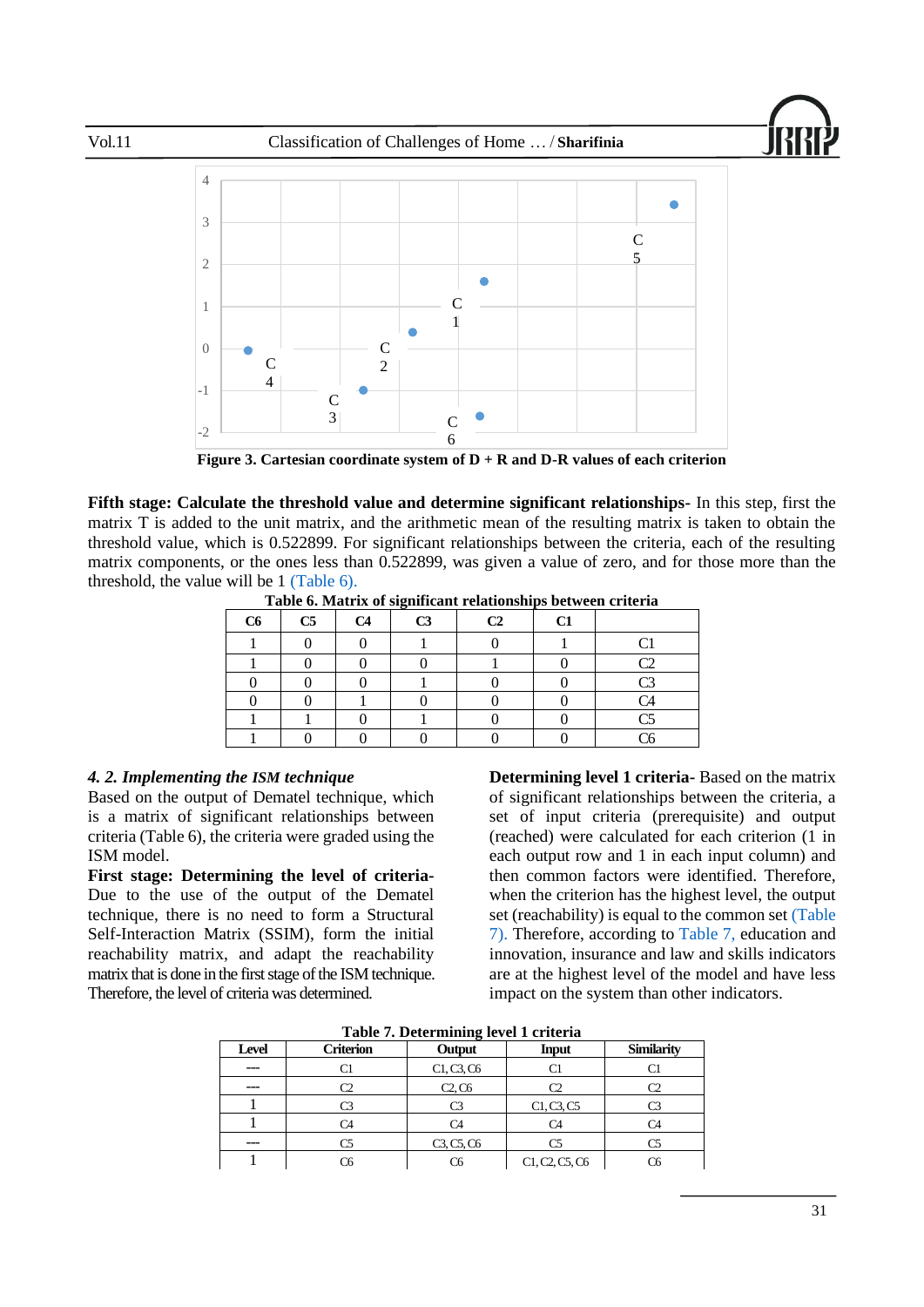



**Figure 3. Cartesian coordinate system of D + R and D-R values of each criterion**

<span id="page-10-1"></span><span id="page-10-0"></span>**Fifth stage: Calculate the threshold value and determine significant relationships-** In this step, first the matrix T is added to the unit matrix, and the arithmetic mean of the resulting matrix is taken to obtain the threshold value, which is 0.522899. For significant relationships between the criteria, each of the resulting matrix components, or the ones less than 0.522899, was given a value of zero, and for those more than the threshold, the value will be 1 [\(Table 6\).](#page-10-1)

|    |                |                | $\bullet$      |    |    |        |
|----|----------------|----------------|----------------|----|----|--------|
| C6 | C <sub>5</sub> | C <sub>4</sub> | C <sub>3</sub> | C2 | C1 |        |
|    |                |                |                |    |    | $\sim$ |
|    |                |                |                |    |    | رس     |
|    |                |                |                |    |    | Γ٩     |
|    |                |                |                |    |    | C4     |
|    |                |                |                |    |    | ~۲     |
|    |                |                |                |    |    | ۲6     |

**Table 6. Matrix of significant relationships between criteria**

### *4. 2. Implementing the ISM technique*

Based on the output of Dematel technique, which is a matrix of significant relationships between criteria (Table 6), the criteria were graded using the ISM model.

**First stage: Determining the level of criteria-**Due to the use of the output of the Dematel technique, there is no need to form a Structural Self-Interaction Matrix (SSIM), form the initial reachability matrix, and adapt the reachability matrix that is done in the first stage of the ISM technique. Therefore, the level of criteria was determined.

**Determining level 1 criteria-** Based on the matrix of significant relationships between the criteria, a set of input criteria (prerequisite) and output (reached) were calculated for each criterion (1 in each output row and 1 in each input column) and then common factors were identified. Therefore, when the criterion has the highest level, the output set (reachability) is equal to the common set [\(Table](#page-10-2)  [7\).](#page-10-2) Therefore, according to [Table 7,](#page-10-2) education and innovation, insurance and law and skills indicators are at the highest level of the model and have less impact on the system than other indicators.

<span id="page-10-2"></span>

| 1400         |                  |            |                |                   |  |  |
|--------------|------------------|------------|----------------|-------------------|--|--|
| <b>Level</b> | <b>Criterion</b> | Output     | <b>Input</b>   | <b>Similarity</b> |  |  |
| ---          |                  | C1, C3, C6 |                |                   |  |  |
| ---          |                  | C2, C6     | m              |                   |  |  |
|              |                  | ٦٦         | C1, C3, C5     |                   |  |  |
|              |                  | C4         |                |                   |  |  |
| ---          |                  | C3, C5, C6 |                |                   |  |  |
|              |                  |            | C1, C2, C5, C6 |                   |  |  |

**Table 7. Determining level 1 criteria**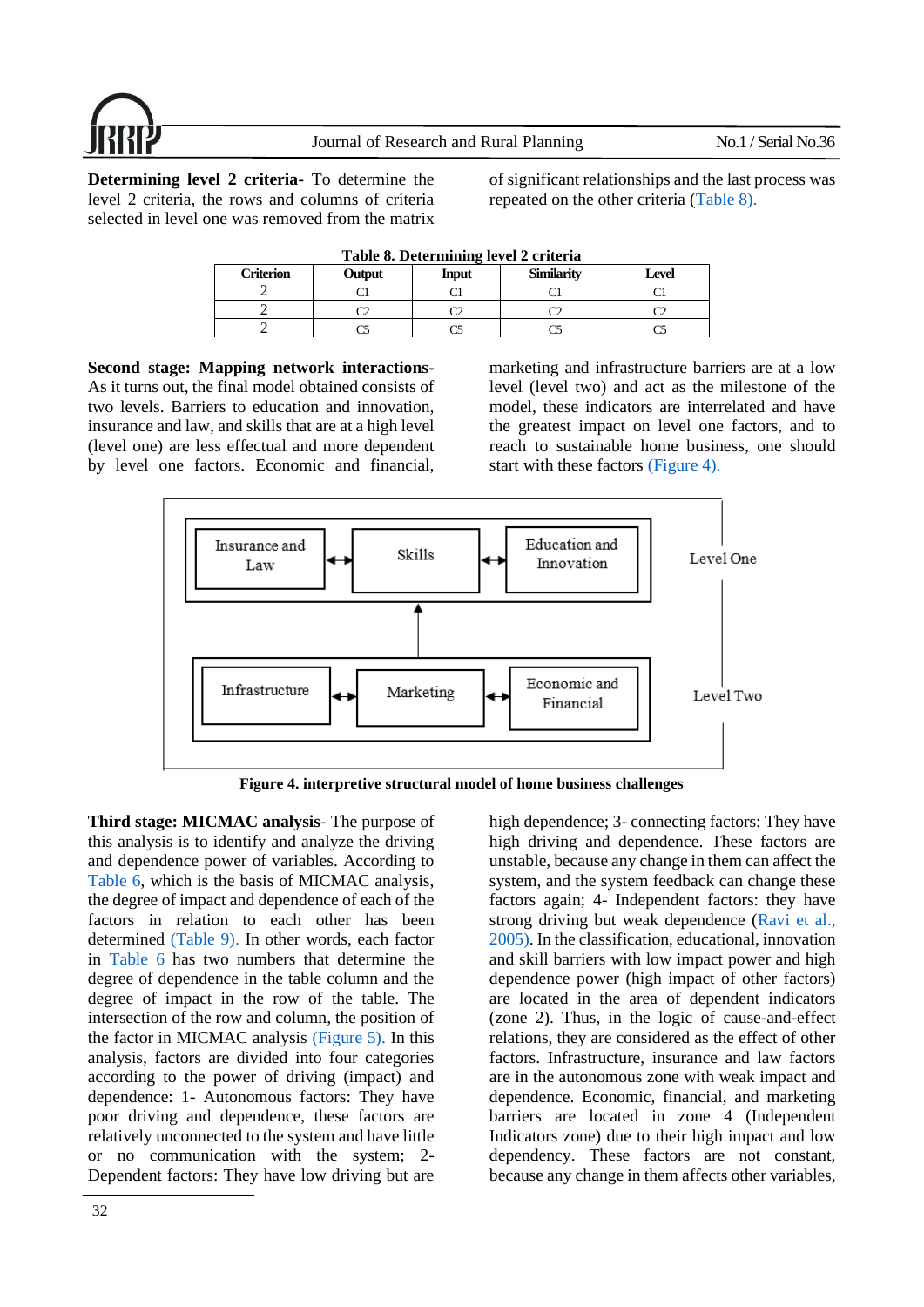

<span id="page-11-0"></span>**Determining level 2 criteria-** To determine the level 2 criteria, the rows and columns of criteria selected in level one was removed from the matrix

of significant relationships and the last process was repeated on the other criteria [\(Table 8\).](#page-11-0)

| Table 0. Determining level 2 criteria |        |              |                   |       |  |  |
|---------------------------------------|--------|--------------|-------------------|-------|--|--|
| <b>Criterion</b>                      | Output | <b>Input</b> | <b>Similarity</b> | Level |  |  |
|                                       |        |              |                   |       |  |  |
|                                       |        |              |                   |       |  |  |
|                                       |        |              |                   |       |  |  |

**Table 8. Determining level 2 criteria**

**Second stage: Mapping network interactions-**As it turns out, the final model obtained consists of two levels. Barriers to education and innovation, insurance and law, and skills that are at a high level (level one) are less effectual and more dependent by level one factors. Economic and financial,

marketing and infrastructure barriers are at a low level (level two) and act as the milestone of the model, these indicators are interrelated and have the greatest impact on level one factors, and to reach to sustainable home business, one should start with these factors [\(Figure 4\).](#page-11-1)



**Figure 4. interpretive structural model of home business challenges**

<span id="page-11-1"></span>**Third stage: MICMAC analysis**- The purpose of this analysis is to identify and analyze the driving and dependence power of variables. According to [Table 6,](#page-10-1) which is the basis of MICMAC analysis, the degree of impact and dependence of each of the factors in relation to each other has been determined [\(Table 9\).](#page-12-0) In other words, each factor in [Table 6](#page-10-1) has two numbers that determine the degree of dependence in the table column and the degree of impact in the row of the table. The intersection of the row and column, the position of the factor in MICMAC analysis [\(Figure 5\).](#page-12-1) In this analysis, factors are divided into four categories according to the power of driving (impact) and dependence: 1- Autonomous factors: They have poor driving and dependence, these factors are relatively unconnected to the system and have little or no communication with the system; 2- Dependent factors: They have low driving but are

high dependence; 3- connecting factors: They have high driving and dependence. These factors are unstable, because any change in them can affect the system, and the system feedback can change these factors again; 4- Independent factors: they have strong driving but weak dependence [\(Ravi et al.,](#page-16-15)  [2005\).](#page-16-15) In the classification, educational, innovation and skill barriers with low impact power and high dependence power (high impact of other factors) are located in the area of dependent indicators (zone 2). Thus, in the logic of cause-and-effect relations, they are considered as the effect of other factors. Infrastructure, insurance and law factors are in the autonomous zone with weak impact and dependence. Economic, financial, and marketing barriers are located in zone 4 (Independent Indicators zone) due to their high impact and low dependency. These factors are not constant, because any change in them affects other variables,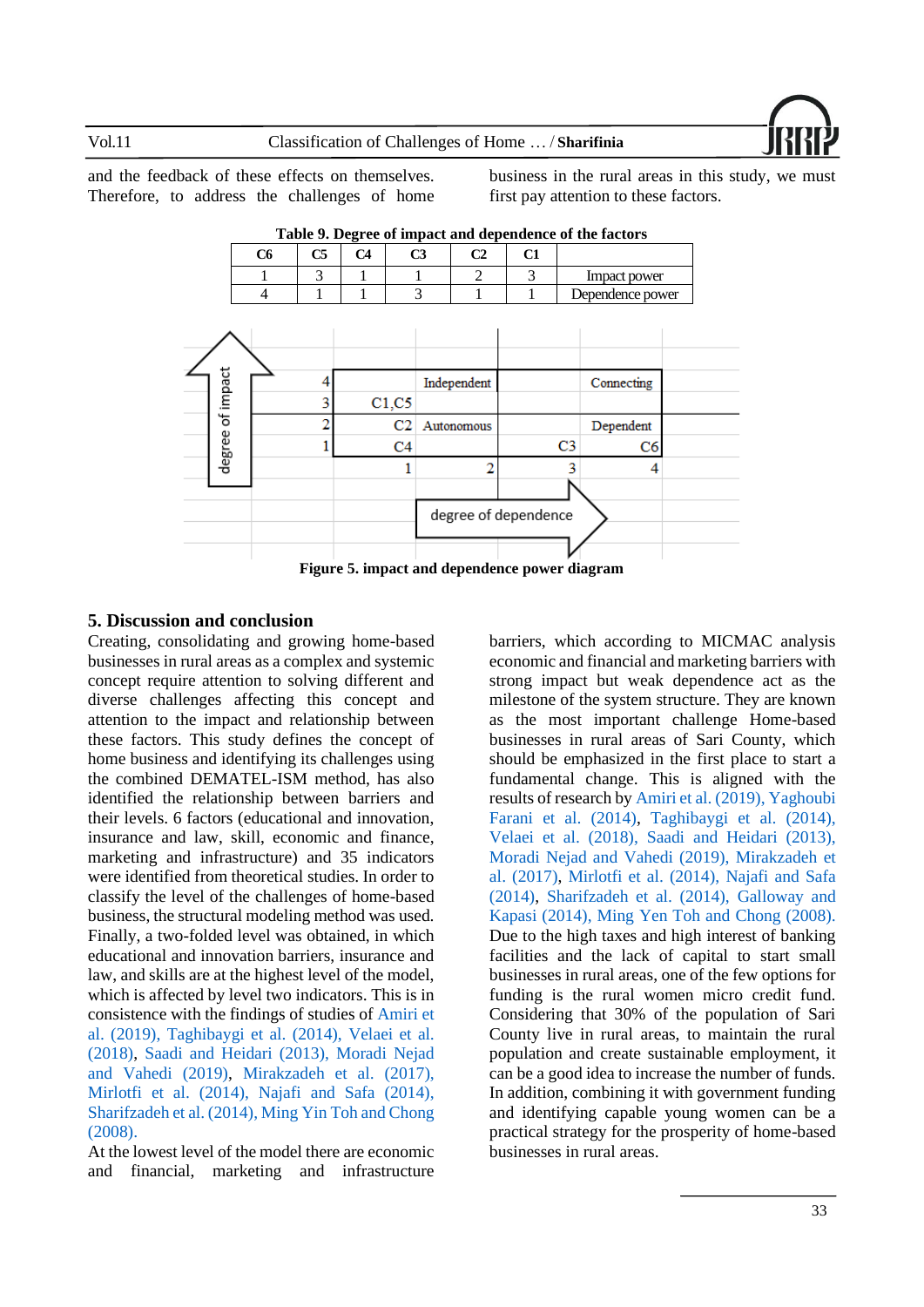

<span id="page-12-0"></span>and the feedback of these effects on themselves. Therefore, to address the challenges of home business in the rural areas in this study, we must first pay attention to these factors.



**Table 9. Degree of impact and dependence of the factors**

### <span id="page-12-1"></span>**5. Discussion and conclusion**

Creating, consolidating and growing home-based businesses in rural areas as a complex and systemic concept require attention to solving different and diverse challenges affecting this concept and attention to the impact and relationship between these factors. This study defines the concept of home business and identifying its challenges using the combined DEMATEL-ISM method, has also identified the relationship between barriers and their levels. 6 factors (educational and innovation, insurance and law, skill, economic and finance, marketing and infrastructure) and 35 indicators were identified from theoretical studies. In order to classify the level of the challenges of home-based business, the structural modeling method was used. Finally, a two-folded level was obtained, in which educational and innovation barriers, insurance and law, and skills are at the highest level of the model, which is affected by level two indicators. This is in consistence with the findings of studies of [Amiri et](#page-14-13)  [al. \(2019\),](#page-14-13) [Taghibaygi et al. \(2014\),](#page-16-3) [Velaei et al.](#page-16-10)  [\(2018\),](#page-16-10) [Saadi and Heidari \(2013\),](#page-16-9) [Moradi Nejad](#page-15-1)  [and Vahedi \(2019\),](#page-15-1) [Mirakzadeh et al. \(2017\),](#page-15-11) [Mirlotfi et al. \(2014\),](#page-15-12) [Najafi and Safa \(2014\),](#page-15-8) [Sharifzadeh et al. \(2014\),](#page-16-0) [Ming Yin Toh and Chong](#page-15-14)  [\(2008\).](#page-15-14)

At the lowest level of the model there are economic and financial, marketing and infrastructure

barriers, which according to MICMAC analysis economic and financial and marketing barriers with strong impact but weak dependence act as the milestone of the system structure. They are known as the most important challenge Home-based businesses in rural areas of Sari County, which should be emphasized in the first place to start a fundamental change. This is aligned with the results of research b[y Amiri et al. \(2019\),](#page-14-13) [Yaghoubi](#page-17-3)  [Farani et al. \(2014\),](#page-17-3) [Taghibaygi et al. \(2014\),](#page-16-3) [Velaei et al. \(2018\),](#page-16-10) [Saadi and Heidari \(2013\),](#page-16-9) [Moradi Nejad and Vahedi \(2019\),](#page-15-1) [Mirakzadeh](#page-15-11) et [al. \(2017\),](#page-15-11) [Mirlotfi et al. \(2014\),](#page-15-12) [Najafi and Safa](#page-15-8)  [\(2014\),](#page-15-8) [Sharifzadeh et al. \(2014\),](#page-16-0) [Galloway and](#page-14-15)  [Kapasi \(2014\),](#page-14-15) [Ming Yen Toh and Chong \(2008\).](#page-15-14) Due to the high taxes and high interest of banking facilities and the lack of capital to start small businesses in rural areas, one of the few options for funding is the rural women micro credit fund. Considering that 30% of the population of Sari County live in rural areas, to maintain the rural population and create sustainable employment, it can be a good idea to increase the number of funds. In addition, combining it with government funding and identifying capable young women can be a practical strategy for the prosperity of home-based businesses in rural areas.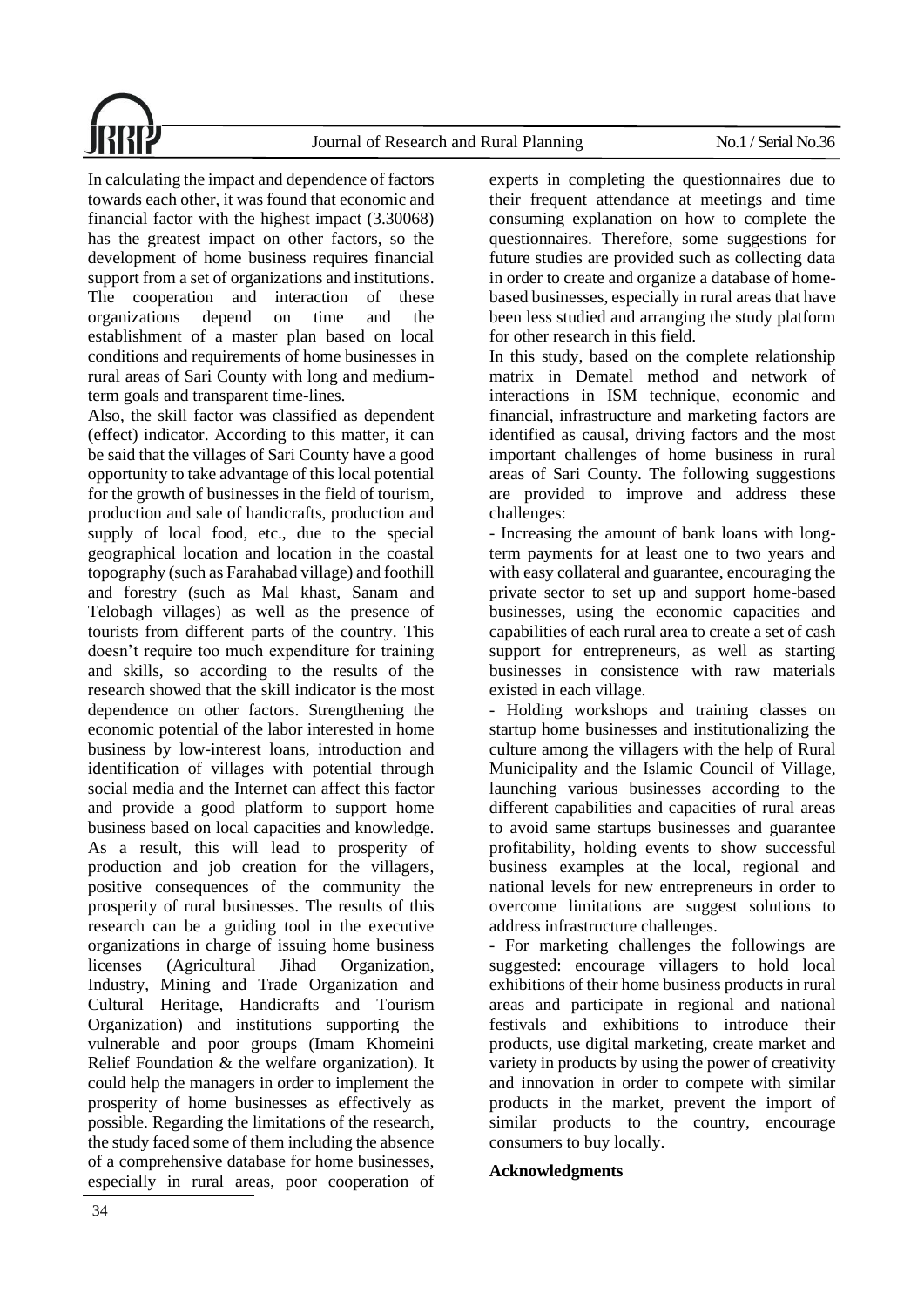Journal of Research and Rural Planning No.1 / Serial No.36

In calculating the impact and dependence of factors towards each other, it was found that economic and financial factor with the highest impact (3.30068) has the greatest impact on other factors, so the development of home business requires financial support from a set of organizations and institutions. The cooperation and interaction of these organizations depend on time and the establishment of a master plan based on local conditions and requirements of home businesses in rural areas of Sari County with long and mediumterm goals and transparent time-lines.

Also, the skill factor was classified as dependent (effect) indicator. According to this matter, it can be said that the villages of Sari County have a good opportunity to take advantage of this local potential for the growth of businesses in the field of tourism, production and sale of handicrafts, production and supply of local food, etc., due to the special geographical location and location in the coastal topography (such as Farahabad village) and foothill and forestry (such as Mal khast, Sanam and Telobagh villages) as well as the presence of tourists from different parts of the country. This doesn't require too much expenditure for training and skills, so according to the results of the research showed that the skill indicator is the most dependence on other factors. Strengthening the economic potential of the labor interested in home business by low-interest loans, introduction and identification of villages with potential through social media and the Internet can affect this factor and provide a good platform to support home business based on local capacities and knowledge. As a result, this will lead to prosperity of production and job creation for the villagers, positive consequences of the community the prosperity of rural businesses. The results of this research can be a guiding tool in the executive organizations in charge of issuing home business licenses (Agricultural Jihad Organization, Industry, Mining and Trade Organization and Cultural Heritage, Handicrafts and Tourism Organization) and institutions supporting the vulnerable and poor groups (Imam Khomeini Relief Foundation & the welfare organization). It could help the managers in order to implement the prosperity of home businesses as effectively as possible. Regarding the limitations of the research, the study faced some of them including the absence of a comprehensive database for home businesses, especially in rural areas, poor cooperation of experts in completing the questionnaires due to their frequent attendance at meetings and time consuming explanation on how to complete the questionnaires. Therefore, some suggestions for future studies are provided such as collecting data in order to create and organize a database of homebased businesses, especially in rural areas that have been less studied and arranging the study platform for other research in this field.

In this study, based on the complete relationship matrix in Dematel method and network of interactions in ISM technique, economic and financial, infrastructure and marketing factors are identified as causal, driving factors and the most important challenges of home business in rural areas of Sari County. The following suggestions are provided to improve and address these challenges:

- Increasing the amount of bank loans with longterm payments for at least one to two years and with easy collateral and guarantee, encouraging the private sector to set up and support home-based businesses, using the economic capacities and capabilities of each rural area to create a set of cash support for entrepreneurs, as well as starting businesses in consistence with raw materials existed in each village.

- Holding workshops and training classes on startup home businesses and institutionalizing the culture among the villagers with the help of Rural Municipality and the Islamic Council of Village, launching various businesses according to the different capabilities and capacities of rural areas to avoid same startups businesses and guarantee profitability, holding events to show successful business examples at the local, regional and national levels for new entrepreneurs in order to overcome limitations are suggest solutions to address infrastructure challenges.

- For marketing challenges the followings are suggested: encourage villagers to hold local exhibitions of their home business products in rural areas and participate in regional and national festivals and exhibitions to introduce their products, use digital marketing, create market and variety in products by using the power of creativity and innovation in order to compete with similar products in the market, prevent the import of similar products to the country, encourage consumers to buy locally.

### **Acknowledgments**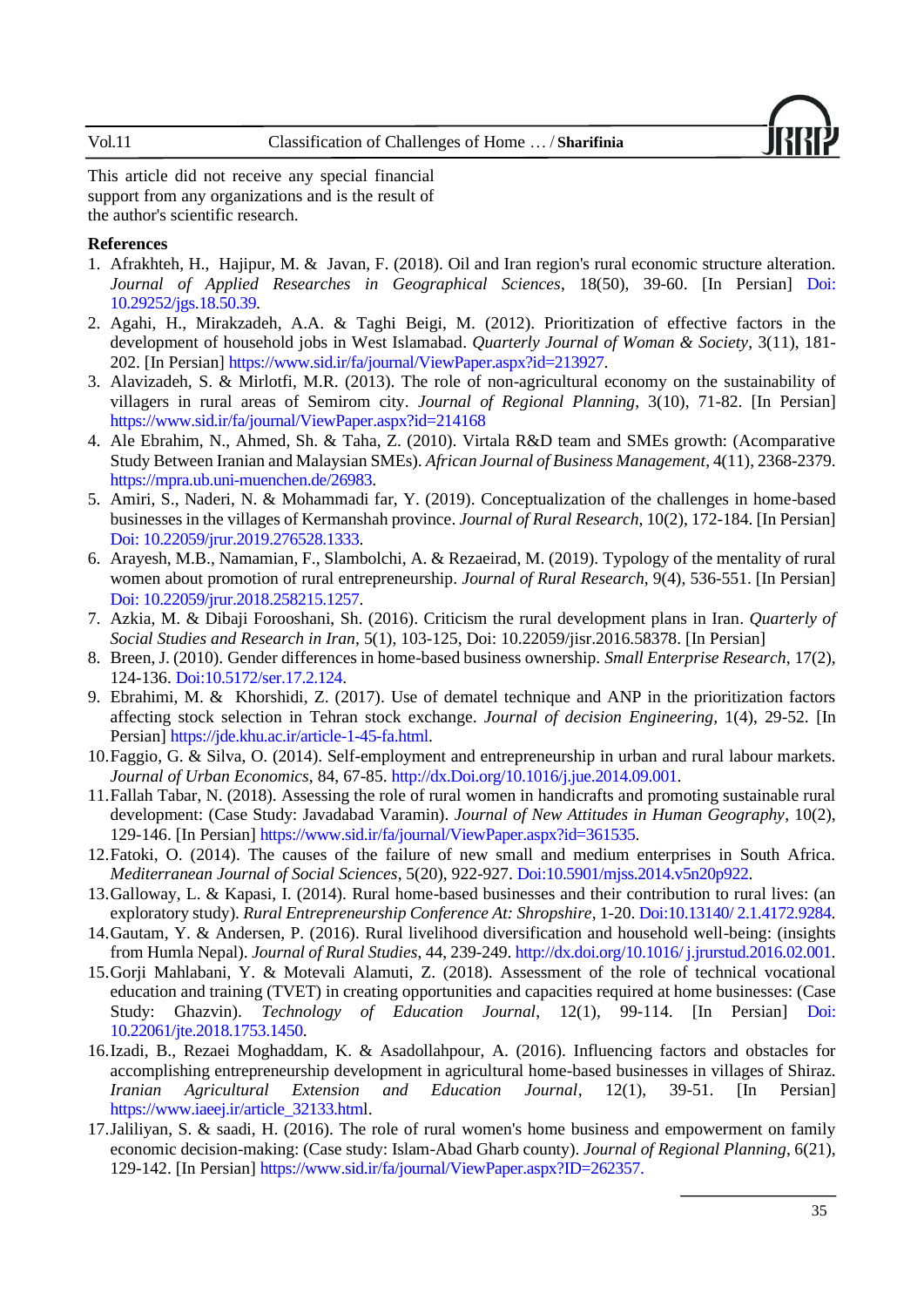### Vol.11 Classification of Challenges of Home … / **Sharifinia**

This article did not receive any special financial support from any organizations and is the result of the author's scientific research.

### **References**

- <span id="page-14-2"></span>1. [Afrakhteh, H., Hajipur, M. & Javan, F. \(2018\). Oil and Iran region's](https://jgs.khu.ac.ir/search.php?sid=1&slc_lang=en&auth=Afrakhteh) rural economic structure alteration. *Journal of Applied Researches in Geographical Sciences*, 18(50), 39-60. [In Persian] Doi: [10.29252/jgs.18.50.39.](http://dx.doi.org/10.29252/jgs.18.50.39)
- <span id="page-14-0"></span>2. Agahi, H., Mirakzadeh, A.A. & Taghi Beigi, M. (2012). [Prioritization of effective factors in the](http://jzvj.miau.ac.ir/article_1172.html?lang=en)  [development of household jobs in West Islamabad.](http://jzvj.miau.ac.ir/article_1172.html?lang=en) *Quarterly Journal of Woman & Society*, 3(11), 181- 202. [In Persian] [https://www.sid.ir/fa/journal/ViewPaper.aspx?id=213927.](https://www.sid.ir/fa/journal/ViewPaper.aspx?id=213927)
- <span id="page-14-3"></span>3. Alavizadeh, S. & Mirlotfi, M.R. (2013). The role of non-agricultural economy on the sustainability of villagers in rural areas of Semirom city. *Journal of Regional Planning*, 3(10), 71-82. [In Persian] <https://www.sid.ir/fa/journal/ViewPaper.aspx?id=214168>
- <span id="page-14-6"></span>4. Ale Ebrahim, N., Ahmed, Sh. & Taha, Z. (2010). Virtala R&D team and SMEs growth: (Acomparative Study Between Iranian and Malaysian SMEs). *African Journal of Business Management*, 4(11), 2368-2379. [https://mpra.ub.uni-muenchen.de/26983.](https://mpra.ub.uni-muenchen.de/26983)
- <span id="page-14-13"></span>5. Amiri, S., Naderi, N. & Mohammadi far, Y. (2019). [Conceptualization of the challenges in home-based](https://jrur.ut.ac.ir/article_71823.html?lang=en)  [businesses in the villages of Kermanshah province.](https://jrur.ut.ac.ir/article_71823.html?lang=en) *Journal of Rural Research*, 10(2), 172-184. [In Persian] Doi: [10.22059/jrur.2019.276528.1333.](https://dx.doi.org/10.22059/jrur.2019.276528.1333)
- <span id="page-14-4"></span>6. Arayesh, M.B., Namamian, F., Slambolchi, A. & Rezaeirad, M. (2019). [Typology of the mentality of rural](https://jrur.ut.ac.ir/article_68565.html?lang=en)  [women about promotion of rural entrepreneurship.](https://jrur.ut.ac.ir/article_68565.html?lang=en) *Journal of Rural Research*, 9(4), 536-551. [In Persian] [Doi:](https://jrur.ut.ac.ir/article_68565.html) [10.22059/jrur.2018.258215.1257.](https://dx.doi.org/10.22059/jrur.2018.258215.1257)
- <span id="page-14-7"></span>7. Azkia, M. & Dibaji Forooshani, Sh. (2016). [Criticism the rural development plans in Iran.](https://jisr.ut.ac.ir/article_58378.html?lang=en) *Quarterly of Social Studies and Research in Iran*, 5(1), 103-125, Doi: [10.22059/jisr.2016.58378.](https://dx.doi.org/10.22059/jisr.2016.58378) [In Persian]
- <span id="page-14-11"></span>8. Breen, J. (2010). Gender differences in home-based business ownership. *Small Enterprise Research*, 17(2), 124-136. Doi:10.5172/ser.17.2.124.
- <span id="page-14-16"></span>9. [Ebrahimi, M. & Khorshidi, Z. \(2017\). Use of dematel technique and ANP in the prioritization factors](https://jde.khu.ac.ir/search.php?sid=1&slc_lang=en&auth=Ebrahimi)  [affecting stock selection in Tehran stock exchange.](https://jde.khu.ac.ir/search.php?sid=1&slc_lang=en&auth=Ebrahimi) *Journal of decision Engineering*, 1(4), 29-52. [In Persian] [https://jde.khu.ac.ir/article-1-45-fa.html.](https://jde.khu.ac.ir/article-1-45-fa.html)
- <span id="page-14-12"></span>10.Faggio, G. & Silva, O. (2014). Self-employment and entrepreneurship in urban and rural labour markets. *Journal of Urban Economics*, 84, 67-85. http://dx.Doi.org/10.1016/j.jue.2014.09.001.
- <span id="page-14-8"></span>11.Fallah Tabar, N. (2018). Assessing the role of rural women in handicrafts and promoting sustainable rural development: (Case Study: Javadabad Varamin). *Journal of New Attitudes in Human Geography*, 10(2), 129-146. [In Persian] [https://www.sid.ir/fa/journal/ViewPaper.aspx?id=361535.](https://www.sid.ir/fa/journal/ViewPaper.aspx?id=361535)
- <span id="page-14-14"></span>12.Fatoki, O. (2014). The causes of the failure of new small and medium enterprises in South Africa. *Mediterranean Journal of Social Sciences*, 5(20), 922-927. Doi[:10.5901/mjss.2014.v5n20p922.](http://dx.doi.org/10.5901/mjss.2014.v5n20p922)
- <span id="page-14-15"></span>13.Galloway, L. & Kapasi, I. (2014). Rural home-based businesses and their contribution to rural lives: (an exploratory study). *Rural Entrepreneurship Conference At: Shropshire*, 1-20. Doi:10.13140/ 2.1.4172.9284.
- <span id="page-14-10"></span>14.Gautam, Y. & Andersen, P. (2016). Rural livelihood diversification and household well-being: (insights from Humla Nepal). *Journal of Rural Studies*, 44, 239-249. http://dx.doi.org/10.1016/ j.jrurstud.2016.02.001.
- <span id="page-14-5"></span>15.Gorji Mahlabani, Y. & Motevali Alamuti, Z. (2018). [Assessment of the role of technical vocational](https://jte.sru.ac.ir/article_758.html?lang=en)  [education and training \(TVET\) in creating opportunities and capacities required at home businesses:](https://jte.sru.ac.ir/article_758.html?lang=en) (Case Study: Ghazvin). *Technology of Education Journal*, 12(1), 99-114. [In Persian] Doi: [10.22061/jte.2018.1753.1450.](https://dx.doi.org/10.22061/jte.2018.1753.1450)
- <span id="page-14-1"></span>16.Izadi, B., Rezaei Moghaddam, K. & Asadollahpour, A. (2016). [Influencing factors and obstacles for](https://www.iaeej.ir/article_32133.html?lang=en)  [accomplishing entrepreneurship development in agricultural home-based businesses in villages of Shiraz.](https://www.iaeej.ir/article_32133.html?lang=en) *Iranian Agricultural Extension and Education Journal*, 12(1), 39-51. [In Persian] [https://www.iaeej.ir/article\\_32133.html.](https://www.iaeej.ir/article_32133.html)
- <span id="page-14-9"></span>17.Jaliliyan, S. & saadi, H. (2016). [The role of rural women's home business and empowerment on family](http://jzpm.miau.ac.ir/article_1785.html?lang=en)  [economic decision-making: \(Case study: Islam-Abad Gharb county\).](http://jzpm.miau.ac.ir/article_1785.html?lang=en) *Journal of Regional Planning*, 6(21), 129-142. [In Persian] [https://www.sid.ir/fa/journal/ViewPaper.aspx?ID=262357.](https://www.sid.ir/fa/journal/ViewPaper.aspx?ID=262357)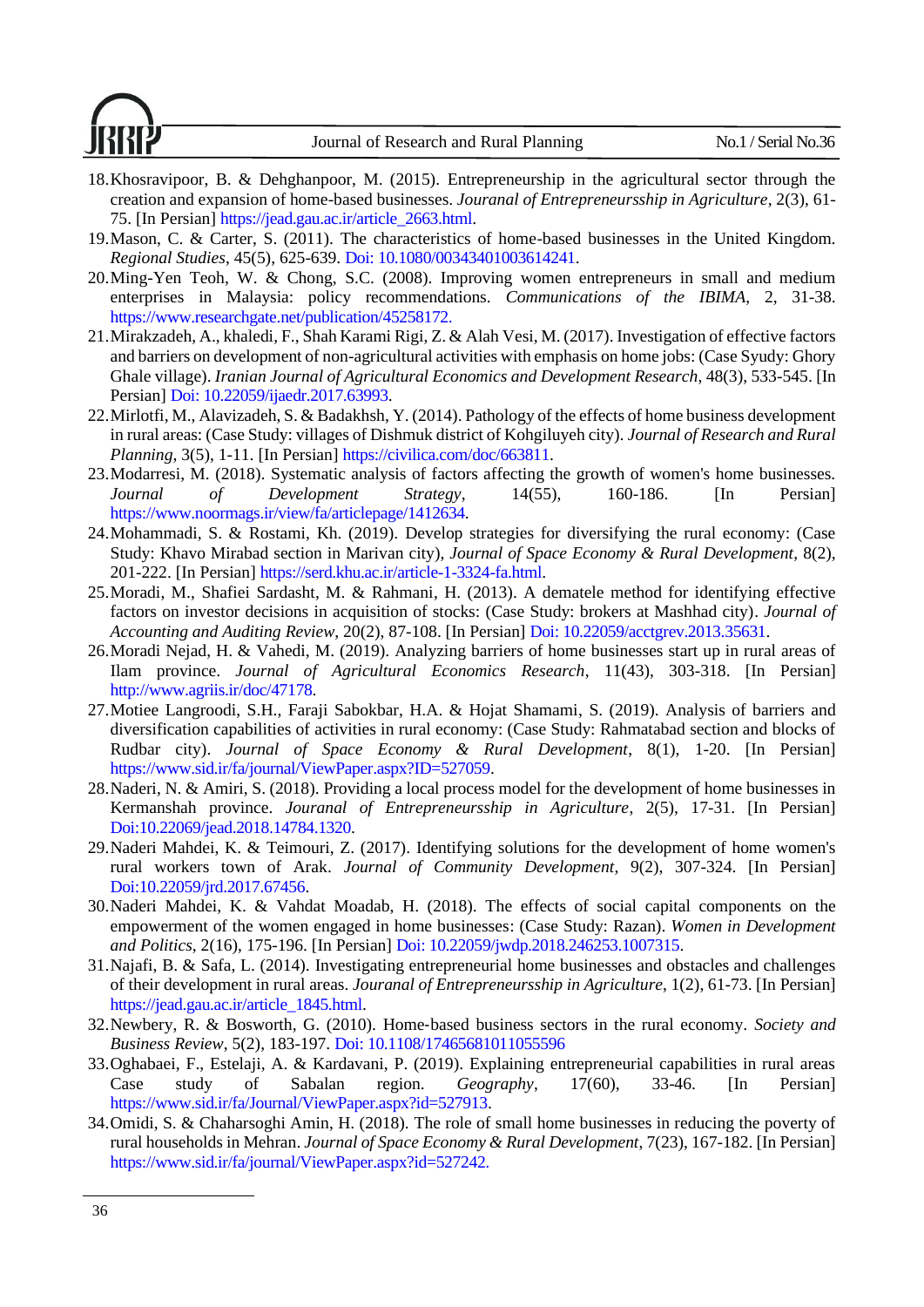Journal of Research and Rural Planning No.1 / Serial No.36



- <span id="page-15-10"></span>18.Khosravipoor, B. & Dehghanpoor, M. (2015). Entrepreneurship in the agricultural sector through the creation and expansion of home-based businesses. *Jouranal of Entrepreneursship in Agriculture*, 2(3), 61- 75. [In Persian] [https://jead.gau.ac.ir/article\\_2663.html.](https://jead.gau.ac.ir/article_2663.html)
- <span id="page-15-4"></span>19.Mason, C. & Carter, S. (2011). The characteristics of home-based businesses in the United Kingdom. *Regional Studies*, 45(5), 625-639. Doi: 10.1080/00343401003614241.
- <span id="page-15-14"></span>20.Ming-Yen Teoh, W. & Chong, S.C. (2008). Improving women entrepreneurs in small and medium enterprises in Malaysia: policy recommendations. *Communications of the IBIMA*, 2, 31-38. [https://www.researchgate.net/publication/45258172.](https://www.researchgate.net/publication/45258172)
- <span id="page-15-11"></span>21.Mirakzadeh, A., khaledi, F., Shah Karami Rigi, Z. & Alah Vesi, M. (2017). I[nvestigation of effective factors](https://ijaedr.ut.ac.ir/article_63993.html?lang=en)  [and barriers on development of non-agricultural activities with emphasis on home jobs: \(Case Syudy: Ghory](https://ijaedr.ut.ac.ir/article_63993.html?lang=en)  [Ghale village\).](https://ijaedr.ut.ac.ir/article_63993.html?lang=en) *Iranian Journal of Agricultural Economics and Development Research*, 48(3), 533-545. [In Persian] Doi: [10.22059/ijaedr.2017.63993.](https://dx.doi.org/10.22059/ijaedr.2017.63993)
- <span id="page-15-12"></span>22.Mirlotfi, M., Alavizadeh, S. & Badakhsh, Y. (2014). Pathology of the effects of home business development in rural areas: (Case Study: villages of Dishmuk district of Kohgiluyeh city). *Journal of Research and Rural Planning*, 3(5), 1-11. [In Persian] [https://civilica.com/doc/663811.](https://civilica.com/doc/663811)
- <span id="page-15-2"></span>23.Modarresi, M. (2018). Systematic analysis of factors affecting the growth of women's home businesses. *Journal of Development Strategy*, 14(55), 160-186. [In Persian] [https://www.noormags.ir/view/fa/articlepage/1412634.](https://www.noormags.ir/view/fa/articlepage/1412634)
- <span id="page-15-5"></span>24.Mohammadi, S. & Rostami, Kh. (2019). Develop strategies for diversifying the rural economy: (Case Study: Khavo Mirabad section in Marivan city), *Journal of Space Economy & Rural Development*, 8(2), 201-222. [In Persian] [https://serd.khu.ac.ir/article-1-3324-fa.html.](https://serd.khu.ac.ir/article-1-3324-fa.html)
- <span id="page-15-15"></span>25.Moradi, M., Shafiei Sardasht, M. & Rahmani, H. (2013). A dematele [method for identifying effective](https://acctgrev.ut.ac.ir/article_35631.html?lang=en)  [factors on investor decisions in acquisition of stocks: \(Case Study: brokers at Mashhad city\).](https://acctgrev.ut.ac.ir/article_35631.html?lang=en) *Journal of Accounting and Auditing Review*, 20(2), 87-108. [In Persian] Doi: [10.22059/acctgrev.2013.35631.](https://dx.doi.org/10.22059/acctgrev.2013.35631)
- <span id="page-15-1"></span>26.Moradi Nejad, H. & Vahedi, M. (2019). A[nalyzing barriers of home businesses start up in rural areas of](http://jae.miau.ac.ir/article_3534.html?lang=en)  [Ilam province.](http://jae.miau.ac.ir/article_3534.html?lang=en) *Journal of Agricultural Economics Research*, 11(43), 303-318. [In Persian] http://www.agriis.ir/doc/47178.
- <span id="page-15-6"></span>27.Motiee Langroodi, S.H., Faraji Sabokbar, H.A. & Hojat Shamami, S. (2019). Analysis of barriers and diversification capabilities of activities in rural economy: (Case Study: Rahmatabad section and blocks of Rudbar city). *Journal of Space Economy & Rural Development*, 8(1), 1-20. [In Persian] https://www.sid.ir/fa/journal/ViewPaper.aspx?ID=527059.
- 28.Naderi, N. & Amiri, S. (2018). Providing a local process model for the development of home businesses in Kermanshah province. *Jouranal of Entrepreneursship in Agriculture*, 2(5), 17-31. [In Persian] Doi[:10.22069/jead.2018.14784.1320.](https://dx.doi.org/10.22069/jead.2018.14784.1320)
- <span id="page-15-13"></span>29.Naderi Mahdei, K. & Teimouri, Z. (2017). [Identifying solutions for the development of home women's](https://jrd.ut.ac.ir/article_67456.html?lang=en) [rural workers town of Arak.](https://jrd.ut.ac.ir/article_67456.html?lang=en) *Journal of Community Development*, 9(2), 307-324. [In Persian] Doi[:10.22059/jrd.2017.67456.](https://dx.doi.org/10.22059/jrd.2017.67456)
- <span id="page-15-7"></span>30.Naderi Mahdei, K. & Vahdat Moadab, H. (2018). [The effects of social capital components on the](https://jwdp.ut.ac.ir/article_67374.html?lang=en)  [empowerment of the women engaged in home businesses:](https://jwdp.ut.ac.ir/article_67374.html?lang=en) (Case Study: Razan). *Women in Development and Politics*, 2(16), 175-196. [In Persian] Doi[: 10.22059/jwdp.2018.246253.1007315.](https://dx.doi.org/10.22059/jwdp.2018.246253.1007315)
- <span id="page-15-8"></span>31.Najafi, B. & Safa, L. (2014). Investigating entrepreneurial home businesses and obstacles and challenges of their development in rural areas. *Jouranal of Entrepreneursship in Agriculture*, 1(2), 61-73. [In Persian] https://jead.gau.ac.ir/article\_1845.html.
- <span id="page-15-9"></span>32.Newbery, R. & Bosworth, G. (2010). Home‐based business sectors in the rural economy. *Society and Business Review*, 5(2), 183-197. Doi: 10.1108/17465681011055596
- <span id="page-15-3"></span>33.Oghabaei, F., Estelaji, A. & Kardavani, P. (2019). Explaining entrepreneurial capabilities in rural areas Case study of Sabalan region. *Geography*, 17(60), 33-46. [In Persian] [https://www.sid.ir/fa/Journal/ViewPaper.aspx?id=527913.](https://www.sid.ir/fa/Journal/ViewPaper.aspx?id=527913)
- <span id="page-15-0"></span>34.Omidi, S. & Chaharsoghi Amin, H. (2018). The role of small home businesses in reducing the poverty of rural households in Mehran. *Journal of Space Economy & Rural Development*, 7(23), 167-182. [In Persian] <https://www.sid.ir/fa/journal/ViewPaper.aspx?id=527242>.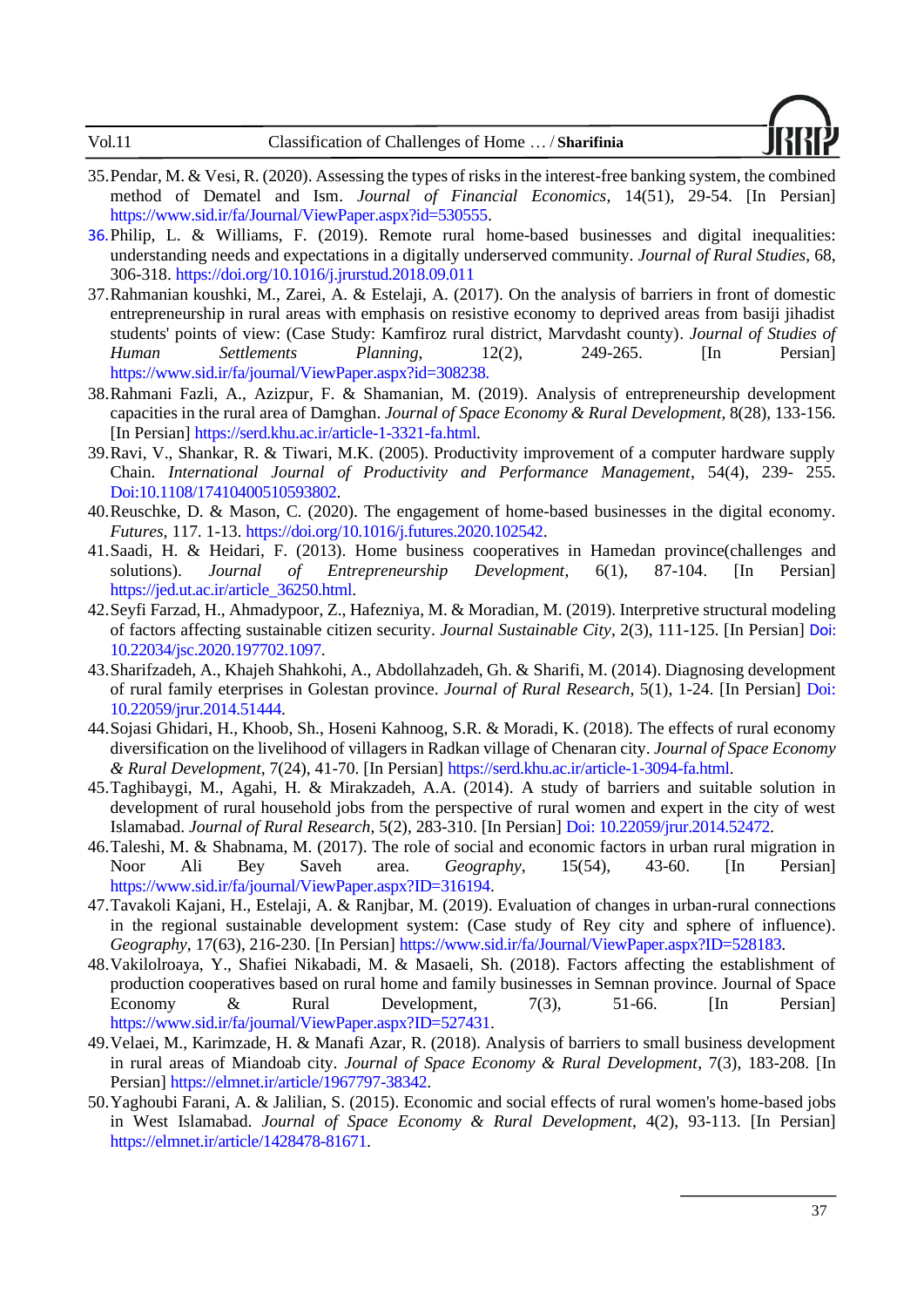| Vol.11<br>Classification of Challenges of Home  / Sharifinia |  |
|--------------------------------------------------------------|--|
|--------------------------------------------------------------|--|



- <span id="page-16-13"></span>35.Pendar, M. & Vesi, R. (2020). Assessing the types of risks in the interest-free banking system, the combined method of Dematel and Ism. *Journal of Financial Economics*, 14(51), 29-54. [In Persian] [https://www.sid.ir/fa/Journal/ViewPaper.aspx?id=530555.](https://www.sid.ir/fa/Journal/ViewPaper.aspx?id=530555)
- <span id="page-16-12"></span>36.Philip, L. & Williams, F. (2019). Remote rural home-based businesses and digital inequalities: understanding needs and expectations in a digitally underserved community. *Journal of Rural Studies*, 68, 306-318.<https://doi.org/10.1016/j.jrurstud.2018.09.011>
- <span id="page-16-8"></span>37.Rahmanian koushki, M., Zarei, A. & Estelaji, A. (2017). On [the analysis of barriers in front of domestic](http://jshsp.iaurasht.ac.ir/article_532885.html?lang=en)  [entrepreneurship in rural areas with emphasis on resistive economy to deprived areas from basiji jihadist](http://jshsp.iaurasht.ac.ir/article_532885.html?lang=en)  [students' points of view: \(Case Study: Kamfiroz rural district, Marvdasht county\).](http://jshsp.iaurasht.ac.ir/article_532885.html?lang=en) *Journal of Studies of Human Settlements Planning*, 12(2), 249-265. [In Persian] <https://www.sid.ir/fa/journal/ViewPaper.aspx?id=308238>.
- <span id="page-16-2"></span>38.Rahmani Fazli, A., Azizpur, F. & Shamanian, M. (2019). Analysis of entrepreneurship development capacities in the rural area of Damghan. *Journal of Space Economy & Rural Development*, 8(28), 133-156. [In Persian] [https://serd.khu.ac.ir/article-1-3321-fa.html.](https://serd.khu.ac.ir/article-1-3321-fa.html)
- <span id="page-16-15"></span>39.Ravi, V., Shankar, R. & Tiwari, M.K. (2005). Productivity improvement of a computer hardware supply Chain. *International Journal of Productivity and Performance Management*, 54(4), 239- 255. Doi[:10.1108/17410400510593802.](https://doi.org/10.1108/17410400510593802)
- <span id="page-16-11"></span>40.Reuschke, D. & Mason, C. (2020). The engagement of home-based businesses in the digital economy. *Futures*, 117. 1-13. [https://doi.org/10.1016/j.futures.2020.102542.](https://doi.org/10.1016/j.futures.2020.102542)
- <span id="page-16-9"></span>41.Saadi, H. & Heidari, F. (2013). [Home business cooperatives in Hamedan province\(challenges and](https://jed.ut.ac.ir/article_36250.html?lang=en)  [solutions\)](https://jed.ut.ac.ir/article_36250.html?lang=en). *Journal of Entrepreneurship Development*, 6(1), 87-104. [In Persian] [https://jed.ut.ac.ir/article\\_36250.html.](https://jed.ut.ac.ir/article_36250.html)
- <span id="page-16-14"></span>42.Seyfi Farzad, H., Ahmadypoor, Z., Hafezniya, M. & Moradian, M. (2019). [Interpretive structural modeling](http://www.jscity.ir/article_102766.html?lang=en)  [of factors affecting sustainable citizen security.](http://www.jscity.ir/article_102766.html?lang=en) *Journal Sustainable City*, 2(3), 111-125. [In Persian] Doi: [10.22034/jsc.2020.197702.1097.](https://dx.doi.org/10.22034/jsc.2020.197702.1097)
- <span id="page-16-0"></span>43.Sharifzadeh, A., Khajeh Shahkohi, A., Abdollahzadeh, Gh. & Sharifi, M. (2014). [Diagnosing development](https://jrur.ut.ac.ir/article_51444.html?lang=en)  [of rural family eterprises in Golestan province.](https://jrur.ut.ac.ir/article_51444.html?lang=en) *Journal of Rural Research*, 5(1), 1-24. [In Persian] Doi: [10.22059/jrur.2014.51444.](https://dx.doi.org/10.22059/jrur.2014.51444)
- <span id="page-16-5"></span>44.Sojasi Ghidari, H., Khoob, Sh., Hoseni Kahnoog, S.R. & Moradi, K. (2018). The effects of rural economy diversification on the livelihood of villagers in Radkan village of Chenaran city. *Journal of Space Economy & Rural Development*, 7(24), 41-70. [In Persian] [https://serd.khu.ac.ir/article-1-3094-fa.html.](https://serd.khu.ac.ir/article-1-3094-fa.html)
- <span id="page-16-3"></span>45.Taghibaygi, M., Agahi, H. & Mirakzadeh, A.A. (2014). [A study of barriers and suitable solution in](https://jrur.ut.ac.ir/article_52472.html?lang=en)  [development of rural household jobs from the perspective of rural women and expert in the city of west](https://jrur.ut.ac.ir/article_52472.html?lang=en)  [Islamabad.](https://jrur.ut.ac.ir/article_52472.html?lang=en) *Journal of Rural Research*, 5(2), 283-310. [In Persian] Doi: [10.22059/jrur.2014.52472.](https://dx.doi.org/10.22059/jrur.2014.52472)
- <span id="page-16-7"></span>46.Taleshi, M. & Shabnama, M. (2017). The role of social and economic factors in urban rural migration in Noor Ali Bey Saveh area. *Geography*, 15(54), 43-60. [In Persian] [https://www.sid.ir/fa/journal/ViewPaper.aspx?ID=316194.](https://www.sid.ir/fa/journal/ViewPaper.aspx?ID=316194)
- <span id="page-16-4"></span>47.Tavakoli Kajani, H., Estelaji, A. & Ranjbar, M. (2019). Ev[aluation of changes in urban-rural connections](http://mag.iga.ir/article_246095.html?lang=en)  [in the regional sustainable development system: \(Case study of Rey city and sphere of influence\).](http://mag.iga.ir/article_246095.html?lang=en) *Geography*, 17(63), 216-230. [In Persian] [https://www.sid.ir/fa/Journal/ViewPaper.aspx?ID=528183.](https://www.sid.ir/fa/Journal/ViewPaper.aspx?ID=528183)
- <span id="page-16-1"></span>48.Vakilolroaya, Y., Shafiei Nikabadi, M. & Masaeli, Sh. (2018). Factors affecting the establishment of production cooperatives based on rural home and family businesses in Semnan province. Journal of Space Economy & Rural Development, 7(3), 51-66. [In Persian] [https://www.sid.ir/fa/journal/ViewPaper.aspx?ID=527431.](https://www.sid.ir/fa/journal/ViewPaper.aspx?ID=527431)
- <span id="page-16-10"></span>49.Velaei, M., Karimzade, H. & Manafi Azar, R. (2018). Analysis of barriers to small business development in rural areas of Miandoab city. *Journal of Space Economy & Rural Development*, 7(3), 183-208. [In Persian] https://elmnet.ir/article/1967797-38342.
- <span id="page-16-6"></span>50.Yaghoubi Farani, A. & Jalilian, S. (2015). Economic and social effects of rural women's home-based jobs in West Islamabad. *Journal of Space Economy & Rural Development*, 4(2), 93-113. [In Persian] [https://elmnet.ir/article/1428478-81671.](https://elmnet.ir/article/1428478-81671)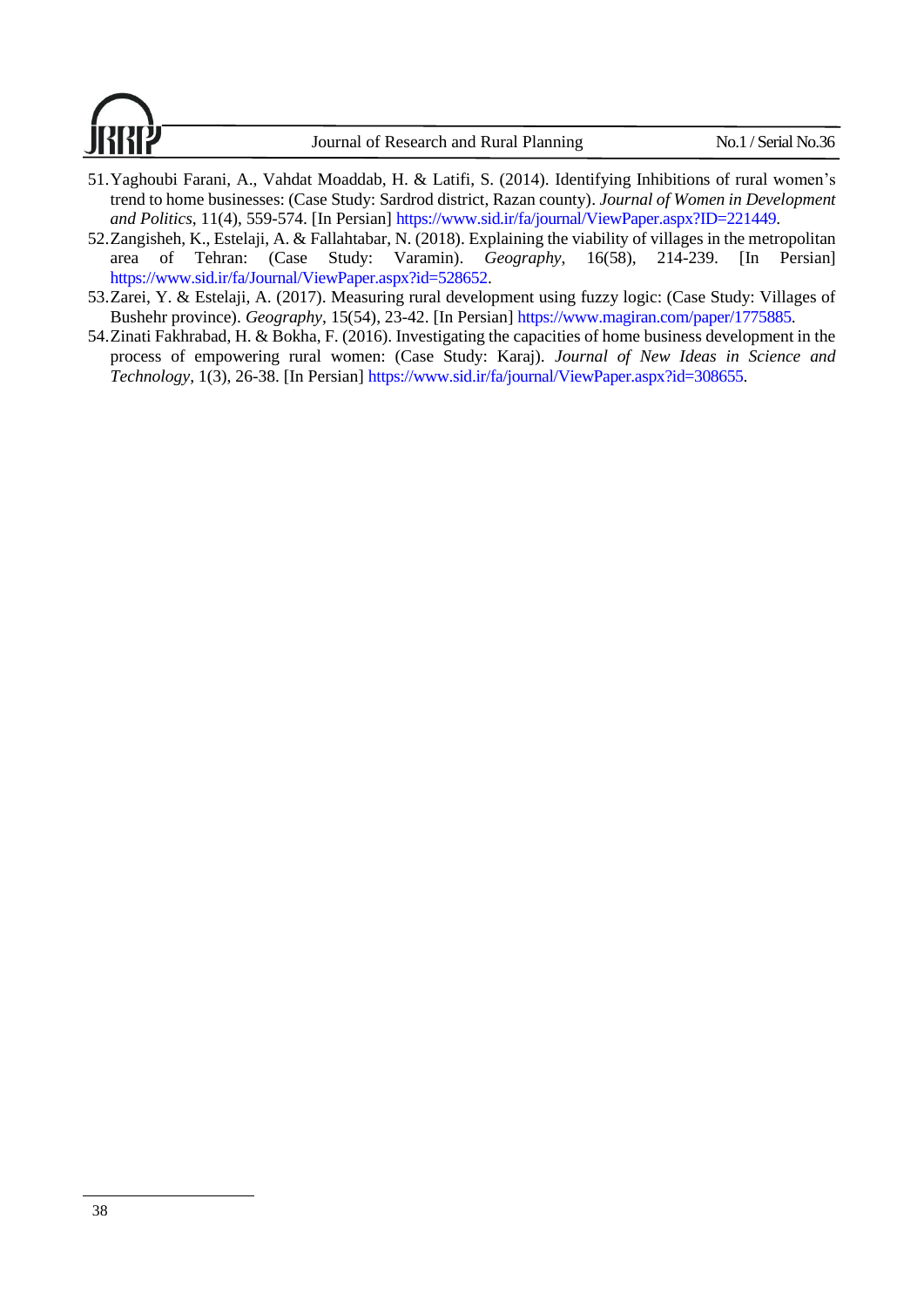

- <span id="page-17-3"></span>51.Yaghoubi Farani, A., Vahdat Moaddab, H. & Latifi, S. (2014). I[dentifying Inhibitions of rural women's](https://jwdp.ut.ac.ir/article_50289.html?lang=en)  [trend to home businesses: \(Case Study: Sardrod district, Razan county\).](https://jwdp.ut.ac.ir/article_50289.html?lang=en) *Journal of Women in Development and Politics*, 11(4), 559-574. [In Persian] [https://www.sid.ir/fa/journal/ViewPaper.aspx?ID=221449.](https://www.sid.ir/fa/journal/ViewPaper.aspx?ID=221449)
- <span id="page-17-1"></span>52.Zangisheh, K., Estelaji, A. & Fallahtabar, N. (2018). Explaining the viability of villages in the metropolitan area of Tehran: (Case Study: Varamin). *Geography*, 16(58), 214-239. [In Persian] [https://www.sid.ir/fa/Journal/ViewPaper.aspx?id=528652.](https://www.sid.ir/fa/Journal/ViewPaper.aspx?id=528652)
- <span id="page-17-2"></span>53.Zarei, Y. & Estelaji, A. (2017). Measuring rural development using fuzzy logic: (Case Study: Villages of Bushehr province). *Geography*, 15(54), 23-42. [In Persian] [https://www.magiran.com/paper/1775885.](https://www.magiran.com/paper/1775885)
- <span id="page-17-0"></span>54.Zinati Fakhrabad, H. & Bokha, F. (2016). Investigating the capacities of home business development in the process of empowering rural women: (Case Study: Karaj). *Journal of New Ideas in Science and Technology*, 1(3), 26-38. [In Persian] [https://www.sid.ir/fa/journal/ViewPaper.aspx?id=308655.](https://www.sid.ir/fa/journal/ViewPaper.aspx?id=308655)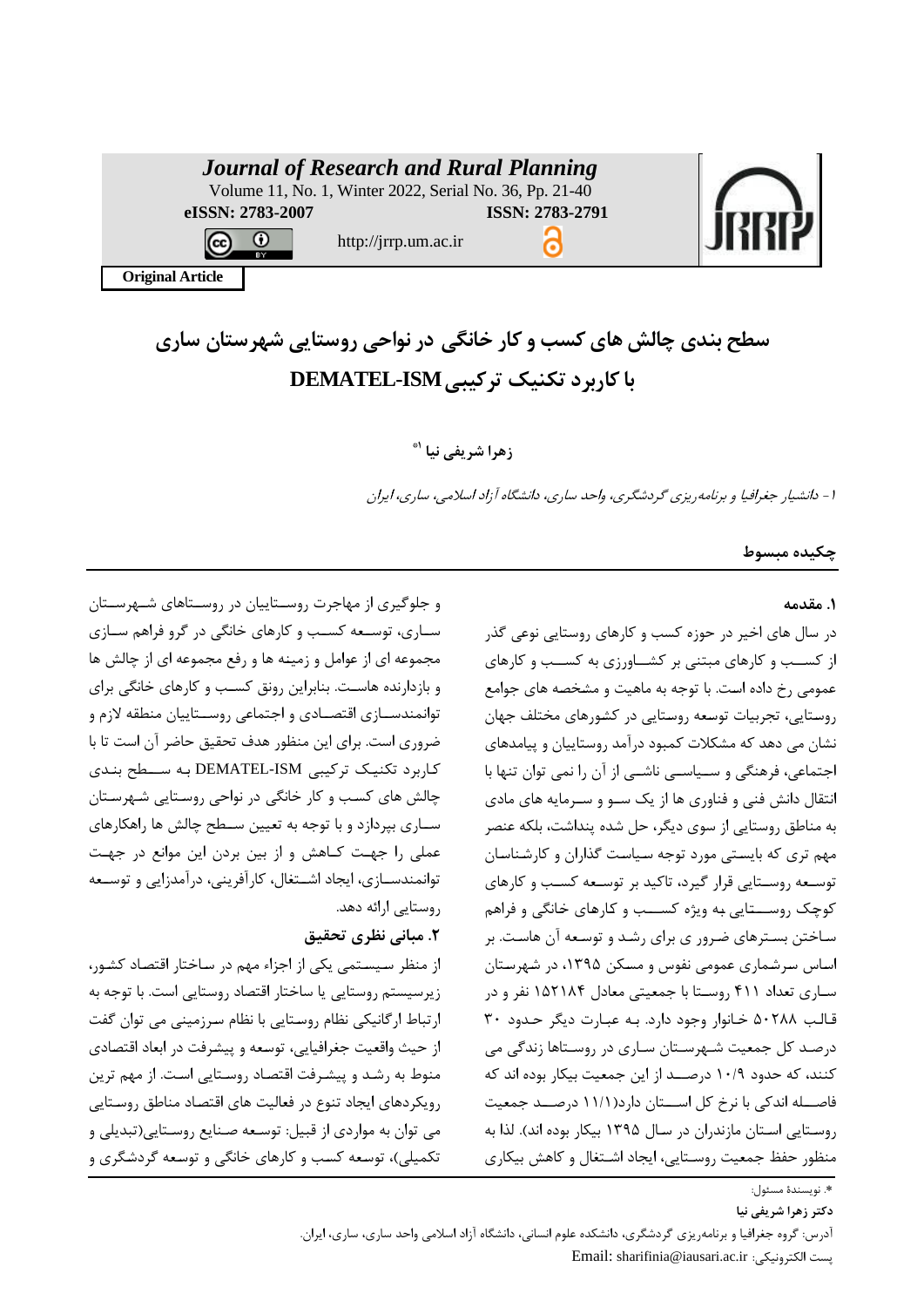|                         | <b>Journal of Research and Rural Planning</b><br>Volume 11, No. 1, Winter 2022, Serial No. 36, Pp. 21-40 |                 |  |
|-------------------------|----------------------------------------------------------------------------------------------------------|-----------------|--|
| eISSN: 2783-2007        |                                                                                                          | ISSN: 2783-2791 |  |
| BY                      | http://jrrp.um.ac.ir                                                                                     |                 |  |
| <b>Original Article</b> |                                                                                                          |                 |  |
|                         |                                                                                                          |                 |  |

**سطح بندی چالش های کسب و کار خانگی در نواحی روستایی شهرستان ساری با کاربرد تکنیک ترکیبی ISM-DEMATEL**

# **1\* زهرا شریفی نیا**

-1 دانشیار جغرافیا و برنامهریزی گردشگری، واحد ساری، دانشگاه آزاد اسالمی، ساری، ایران

### **چکیده مبسوط**

### **.1 مقدمه**

در سال های اخیر در حوزه کسب و کارهای روستایی نوعی گذر از کسب و کارهای مبتنی بر کشـاورزی به کسـب و کارهای عمومی رخ داده است. با توجه به ماهیت و مشخصه های جوامع روستایی، تجربیات توسعه روستایی در کشورهای مختلف جهان نشان می دهد که مشکلات کمبود درآمد روستاییان و پیامدهای اجتماعی، فرهنگی و سـياسـي ناشـي از آن را نمی توان تنها با انتقال دانش فنی و فناوری ها از یک سبو و سبرمایه های مادی به مناطق روستایی از سوی دیگر، حل شده پنداشت، بلکه عنصر مهم تری که بایستی مورد توجه سیاست گذاران و کارشناسان توسعه روستایی قرار گیرد، تاکید بر توسعه کسب و کارهای کوچک روســـتایی به ویژه کســـب و کارهای خانگی و فراهم ساختن بسترهای ضرور ی برای رشد و توسعه آن هاست. بر اساس سرشماری عمومی نفوس و مسکن ۱۳۹۵، در شهرستان سباری تعداد ۴۱۱ روستا با جمعیتی معادل ۱۵۲۱۸۴ نفر و در قالب ۵۰۲۸۸ خانوار وجود دارد. به عبارت دیگر حدود ۳۰ درصـد کل جمعیت شـهرسـتان سـاری در روسـتاها زندگی می کنند، که حدود ۱۰/۹ درصــد از این جمعیت بیکار بوده اند که فاصـــله اندکی با نرخ کل اســـتان دارد(۱۱/۱ درصـــد جمعیت روستایی استان مازندران در سال ۱۳۹۵ بیکار بوده اند). لذا به منظور حفظ جمعیت روستایی، ایجاد اشتغال و کاهش بیکاری

و جهوگیری از م اجر روسببتاییان در روسببتاهای شبب رسببتان سباری، توسیعه کسب و کارهای خانگی در گرو فراهم سبازی مجموعه ای از عوامل و زمینه ها و رفع مجموعه ای از چالش ها و بازدارنده هاسب. ب ابرای رونق کسبب و کارهای خانگی برای توانمندسـازی اقتصـادی و اجتماعی روســتاییان منطقه لازم و ضروری است. برای این منظور هدف تحقیق حاضر آن است تا با کاربرد تکنیک ترکیبی DEMATEL-ISM به ســطح بندی چابش های کسبب و کار خانگی در نواحی روسبتایی شب رسبتان سباری بپردازد و با توجه به تعیین سبطح چالش ها راهکارهای عملی را جهت کاهش و از بین بردن این موانع در جهت توانمندسـازی، ایجاد اشـتغال، کارآفرینی، درآمدزایی و توسـعه روستایی ارائه دهد

# **.2 مبانی نظری تحقیق**

از منظر سیستمی یکی از اجزاء مهم در ساختار اقتصاد کشور، زیرسیستم روستایی یا ساختار اقتصاد روستایی است. با توجه به ارتباط ارگانیکی نظام روستایی با نظام سرزمینی می توان گفت از حیث واقعیت جغرافیایی، توسعه و پیشرفت در ابعاد اقتصادی منوط به رشد و پیشرفت اقتصاد روستایی است. از مهم ترین رویکردهای ایجاد تنوع در فعالیت های اقتصاد مناطق روستایی می توان به مواردی از قبیل: توسعه صنایع روستایی(تبدیلی و تکمیلی)، توسعه کسب و کارهای خانگی و توسعه گردشگری و

39 **دکتر زهرا شریفی نیا** 

آدرس: گروه جغرافیا و برنامهریزی گردشگری، دانشکده علوم انسانی، دانشگاه آزاد اسلامی واحد ساری، ساری، ایران. Email: sharifinia@iausari.ac.ir :ابکترونیکی .پس

<sup>.&</sup>lt;br>\*. نویسندهٔ مسئول: